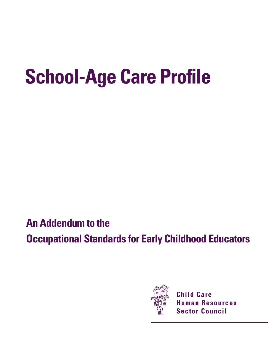# **School-Age Care Profile**

**An Addendum to the**

**Occupational Standards for Early Childhood Educators**



**Child Care Human Resources Sector Council**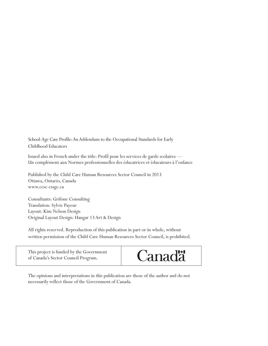School-Age Care Profile: An Addendum to the Occupational Standards for Early Childhood Educators

Issued also in French under the title: Profil pour les services de garde scolaires — Un complément aux Normes professionnelles des éducatrices et éducateurs à l'enfance

Published by the Child Care Human Resources Sector Council in 2013 Ottawa, Ontario, Canada www.ccsc-cssge.ca

Consultants: Grifone Consulting Translation: Sylvie Payeur Layout: Kim Nelson Design Original Layout Design: Hangar 13 Art & Design

All rights reserved. Reproduction of this publication in part or in whole, without written permission of the Child Care Human Resources Sector Council, is prohibited.

| This project is funded by the Government<br>of Canada's Sector Council Program. | Canadä |
|---------------------------------------------------------------------------------|--------|
|---------------------------------------------------------------------------------|--------|

The opinions and interpretations in this publication are those of the author and do not necessarily reflect those of the Government of Canada.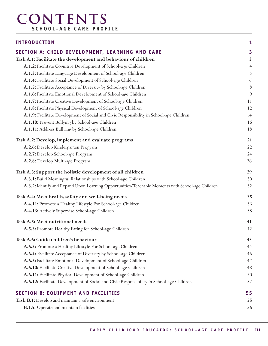# **CONTENTS S CHOOL - A G E C ARE P ROFILE**

|  | <b>INTRODUCTION</b> |  |  |  |  |
|--|---------------------|--|--|--|--|
|  |                     |  |  |  |  |

| <b>INTRODUCTION</b>                                                                               | $\mathbf{1}$   |
|---------------------------------------------------------------------------------------------------|----------------|
| SECTION A: CHILD DEVELOPMENT, LEARNING AND CARE                                                   | 3              |
| Task A.1: Facilitate the development and behaviour of children                                    | 3              |
| A.1.2: Facilitate Cognitive Development of School-age Children                                    | $\overline{4}$ |
| A.1.3: Facilitate Language Development of School-age Children                                     | 5              |
| A.1.4: Facilitate Social Development of School-age Children                                       | 6              |
| A.1.5: Facilitate Acceptance of Diversity by School-age Children                                  | $\,$ $\,$      |
| A.1.6: Facilitate Emotional Development of School-age Children                                    | 9              |
| A.1.7: Facilitate Creative Development of School-age Children                                     | 11             |
| A.1.8: Facilitate Physical Development of School-age Children                                     | 12             |
| A.1.9: Facilitate Development of Social and Civic Responsibility in School-age Children           | 14             |
| A.1.10: Prevent Bullying by School-age Children                                                   | 16             |
| A.1.11: Address Bullying by School-age Children                                                   | 18             |
| Task A.2: Develop, implement and evaluate programs                                                | 21             |
| A.2.6: Develop Kindergarten Program                                                               | 22             |
| A.2.7: Develop School-age Program                                                                 | 24             |
| A.2.8: Develop Multi-age Program                                                                  | 26             |
| Task A.3: Support the holistic development of all children                                        | 29             |
| A.3.1: Build Meaningful Relationships with School-age Children                                    | 30             |
| A.3.2: Identify and Expand Upon Learning Opportunities/Teachable Moments with School-age Children | 32             |
| Task A.4: Meet health, safety and well-being needs                                                | 35             |
| A.4.11: Promote a Healthy Lifestyle For School-age Children                                       | 36             |
| A.4.13: Actively Supervise School-age Children                                                    | 38             |
| <b>Task A.5: Meet nutritional needs</b>                                                           | 41             |
| A.5.3: Promote Healthy Eating for School-age Children                                             | 42             |
| Task A.6: Guide children's behaviour                                                              | 43             |
| A.6.3: Promote a Healthy Lifestyle For School-age Children                                        | 44             |
| A.6.4: Facilitate Acceptance of Diversity by School-age Children                                  | 46             |
| A.6.5: Facilitate Emotional Development of School-age Children                                    | 47             |
| A.6.10: Facilitate Creative Development of School-age Children                                    | 48             |
| A.6.11: Facilitate Physical Development of School-age Children                                    | 50             |
| A.6.12: Facilitate Development of Social and Civic Responsibility in School-age Children          | 52             |
| <b>SECTION B: EQUIPMENT AND FACILITIES</b>                                                        | 55             |
| Task B.1: Develop and maintain a safe environment                                                 | 55             |
| <b>B.1.5:</b> Operate and maintain facilities                                                     | 56             |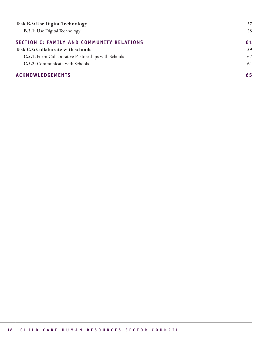| Task B.3: Use Digital Technology                    | 57 |
|-----------------------------------------------------|----|
| <b>B.3.1:</b> Use Digital Technology                | 58 |
| <b>SECTION C: FAMILY AND COMMUNITY RELATIONS</b>    | 61 |
| Task C.5: Collaborate with schools                  | 59 |
| C.5.1: Form Collaborative Partnerships with Schools | 62 |
| <b>C.5.2:</b> Communicate with Schools              | 64 |
| <b>ACKNOWLEDGEMENTS</b>                             | 65 |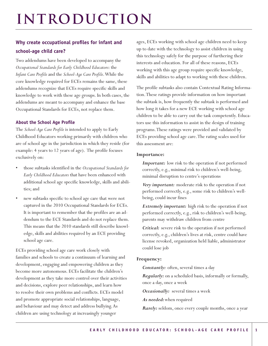# **Why create occupational profiles for infant and school-age child care?**

Two addendums have been developed to accompany the *Occupational Standards for Early Childhood Educators*: the *Infant Care Profile* and the *School-Age Care Profile*. While the core knowledge required for ECEs remains the same, these addendums recognize that ECEs require specific skills and knowledge to work with these age groups. In both cases, the addendums are meant to accompany and enhance the base Occupational Standards for ECEs, not replace them.

#### **About the School Age Profile**

The *School-Age Care Profile* is intended to apply to Early Childhood Educators working primarily with children who are of school age in the jurisdiction in which they reside (for example: 4 years to 12 years of age). The profile focuses exclusively on:

- those subtasks identified in the *Occupational Standards for Early Childhood Educators* that have been enhanced with additional school age specific knowledge, skills and abilities; and
- new subtasks specific to school age care that were not captured in the 2010 Occupational Standards for ECEs. It is important to remember that the profiles are an addendum to the ECE Standards and do not replace them. This means that the 2010 standards still describe knowledge, skills and abilities required by an ECE providing school age care.

ECEs providing school age care work closely with families and schools to create a continuum of learning and development, engaging and empowering children as they become more autonomous. ECEs facilitate the children's development as they take more control over their activities and decisions, explore peer relationships, and learn how to resolve their own problems and conflicts. ECEs model and promote appropriate social relationships, language, and behaviour and may detect and address bullying. As children are using technology at increasingly younger

ages, ECEs working with school age children need to keep up to date with the technology to assist children in using this technology safely for the purpose of furthering their interests and education. For all of these reasons, ECEs working with this age group require specific knowledge, skills and abilities to adapt to working with these children.

The profile subtasks also contain Contextual Rating Information. These ratings provide information on how important the subtask is, how frequently the subtask is performed and how long it takes for a new ECE working with school age children to be able to carry out the task competently. Educators use this information to assist in the design of training programs. These ratings were provided and validated by ECEs providing school age care. The rating scales used for this assessment are:

#### **Importance:**

*Important:* low risk to the operation if not performed correctly, e.g., minimal risk to children's well-being, minimal disruption to centre's operations

*Very important:* moderate risk to the operation if not performed correctly, e.g., some risk to children's wellbeing, could incur fines

*Extremely important:* high risk to the operation if not performed correctly, e.g., risk to children's well-being, parents may withdraw children from centre

*Critical:* severe risk to the operation if not performed correctly, e.g., children's lives at risk, centre could have license revoked, organization held liable, administrator could lose job

#### **Frequency:**

*Constantly:* often, several times a day

*Regularly:* on a scheduled basis, informally or formally, once a day, once a week

*Occasionally:* several times a week

*As needed:* when required

*Rarely:* seldom, once every couple months, once a year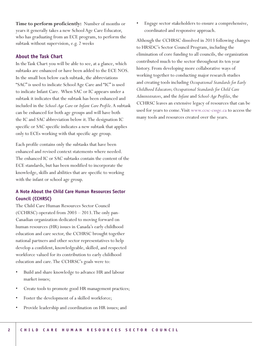**Time to perform proficiently:** Number of months or years it generally takes a new School Age Care Educator, who has graduating from an ECE program, to perform the subtask without supervision, e.g. 2 weeks

#### **About the Task Chart**

In the Task Chart you will be able to see, at a glance, which subtasks are enhanced or have been added to the ECE NOS. In the small box below each subtask, the abbreviations "SAC" is used to indicate School Age Care and "IC" is used to indicate Infant Care. When SAC or IC appears under a subtask it indicates that the subtask has been enhanced and included in the *School-Age Care* or *Infant Care Profile*. A subtask can be enhanced for both age groups and will have both the IC and SAC abbreviation below it. The designation IC specific or SAC specific indicates a new subtask that applies only to ECEs working with that specific age group.

Each profile contains only the subtasks that have been enhanced and revised context statements where needed. The enhanced IC or SAC subtasks contain the content of the ECE standards, but has been modified to incorporate the knowledge, skills and abilities that are specific to working with the infant or school age group.

#### **A Note About the Child Care Human Resources Sector Council (CCHRSC)**

The Child Care Human Resources Sector Council (CCHRSC) operated from 2003 – 2013. The only pan-Canadian organization dedicated to moving forward on human resources (HR) issues in Canada's early childhood education and care sector, the CCHRSC brought together national partners and other sector representatives to help develop a confident, knowledgeable, skilled, and respected workforce valued for its contribution to early childhood education and care. The CCHRSC's goals were to:

- Build and share knowledge to advance HR and labour market issues;
- Create tools to promote good HR management practices;
- Foster the development of a skilled workforce;
- Provide leadership and coordination on HR issues; and

 Engage sector stakeholders to ensure a comprehensive, coordinated and responsive approach.

Although the CCHRSC dissolved in 2013 following changes to HRSDC's Sector Council Program, including the elimination of core funding to all councils, the organization contributed much to the sector throughout its ten year history. From developing more collaborative ways of working together to conducting major research studies and creating tools including *Occupational Standards for Early Childhood Educators, Occupational Standards for Child Care Administrators*, and the *Infant* and *School-Age Profiles*, the CCHRSC leaves an extensive legacy of resources that can be used for years to come. Visit [www.ccsc-cssge.ca](http://www.ccsc-cssge.ca) to access the many tools and resources created over the years.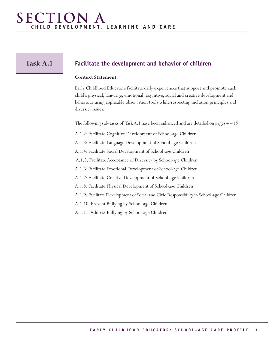# **SECTION CHILD DE V ELOP M E N T , L E A R N I N G A N D C A R E**

# **Task A.1 Facilitate the development and behavior of children**

#### **Context Statement:**

Early Childhood Educators facilitate daily experiences that support and promote each child's physical, language, emotional, cognitive, social and creative development and behaviour using applicable observation tools while respecting inclusion principles and diversity issues.

The following sub-tasks of Task A.1 have been enhanced and are detailed on pages 4 – 19:

- A.1.2: Facilitate Cognitive Development of School-age Children
- A.1.3: Facilitate Language Development of School-age Children
- A.1.4: Facilitate Social Development of School-age Children
- A.1.5: Facilitate Acceptance of Diversity by School-age Children
- A.1.6: Facilitate Emotional Development of School-age Children
- A.1.7: Facilitate Creative Development of School-age Children
- A.1.8: Facilitate Physical Development of School-age Children
- A.1.9: Facilitate Development of Social and Civic Responsibility in School-age Children
- A.1.10: Prevent Bullying by School-age Children
- A.1.11: Address Bullying by School-age Children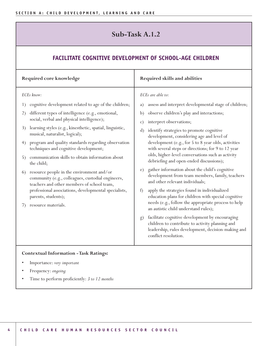# **FACILITATE COGNITIVE DEVELOPMENT OF SCHOOL-AGE CHILDREN**

| Required core knowledge                                                                                                                                                                                                                                                                                                                                                                                                                                                                                                                                                                                                          | Required skills and abilities                                                                                                                                                                                                                                                                                                                                                                                                                                                                                                                                                                                                            |
|----------------------------------------------------------------------------------------------------------------------------------------------------------------------------------------------------------------------------------------------------------------------------------------------------------------------------------------------------------------------------------------------------------------------------------------------------------------------------------------------------------------------------------------------------------------------------------------------------------------------------------|------------------------------------------------------------------------------------------------------------------------------------------------------------------------------------------------------------------------------------------------------------------------------------------------------------------------------------------------------------------------------------------------------------------------------------------------------------------------------------------------------------------------------------------------------------------------------------------------------------------------------------------|
| ECEs know:<br>cognitive development related to age of the children;<br>1)<br>different types of intelligence (e.g., emotional,<br>2)<br>social, verbal and physical intelligence);<br>learning styles (e.g., kinesthetic, spatial, linguistic,<br>3)<br>musical, naturalist, logical);<br>program and quality standards regarding observation<br>$^{(4)}$<br>techniques and cognitive development;<br>communication skills to obtain information about<br>5)<br>the child;<br>resource people in the environment and/or<br>6)<br>community (e.g., colleagues, custodial engineers,<br>teachers and other members of school team, | ECEs are able to:<br>assess and interpret developmental stage of children;<br>a)<br>observe children's play and interactions;<br>$\mathbf{b}$<br>interpret observations;<br>C)<br>identify strategies to promote cognitive<br>d)<br>development, considering age and level of<br>development (e.g., for 5 to 8 year olds, activities<br>with several steps or directions; for 9 to 12 year<br>olds, higher-level conversations such as activity<br>debriefing and open-ended discussions);<br>gather information about the child's cognitive<br>e)<br>development from team members, family, teachers<br>and other relevant individuals; |
| professional associations, developmental specialists,<br>parents, students);<br>resource materials.<br>$\gamma$                                                                                                                                                                                                                                                                                                                                                                                                                                                                                                                  | apply the strategies found in individualized<br>f<br>education plans for children with special cognitive<br>needs (e.g., follow the appropriate process to help<br>an autistic child understand rules);<br>facilitate cognitive development by encouraging<br>$\mathbf{g}$<br>children to contribute to activity planning and<br>leadership, rules development, decision-making and<br>conflict resolution.                                                                                                                                                                                                                              |

- Importance: *very important*
- Frequency: *ongoing*
- Time to perform proficiently: *3 to 12 months*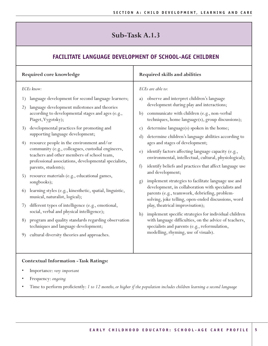# **FACILITATE LANGUAGE DEVELOPMENT OF SCHOOL-AGE CHILDREN**

| ECEs know:<br>ECEs are able to:<br>language development for second language learners;<br>observe and interpret children's language<br>1)<br>a)<br>development during play and interactions;<br>language development milestones and theories<br>2)<br>according to developmental stages and ages (e.g.,<br>communicate with children (e.g., non-verbal<br>$\mathbf{b}$<br>Piaget, Vygotsky);<br>techniques, home language(s), group discussions);<br>developmental practices for promoting and<br>determine language(s) spoken in the home;<br>3)<br>C)<br>supporting language development;<br>determine children's language abilities according to<br>d)<br>ages and stages of development;<br>resource people in the environment and/or<br>$^{(4)}$<br>community (e.g., colleagues, custodial engineers,<br>identify factors affecting language capacity (e.g.,<br>e)<br>teachers and other members of school team,<br>environmental, intellectual, cultural, physiological);<br>professional associations, developmental specialists,<br>identify beliefs and practices that affect language use<br>f<br>parents, students);<br>and development;<br>resource materials (e.g., educational games,<br>5)<br>implement strategies to facilitate language use and<br>g)<br>songbooks);<br>development, in collaboration with specialists and<br>learning styles (e.g., kinesthetic, spatial, linguistic,<br>6)<br>parents (e.g., teamwork, debriefing, problem-<br>musical, naturalist, logical);<br>solving, joke telling, open-ended discussions, word<br>play, theatrical improvisation);<br>different types of intelligence (e.g., emotional,<br>7)<br>social, verbal and physical intelligence);<br>implement specific strategies for individual children<br>h)<br>with language difficulties, on the advice of teachers,<br>program and quality standards regarding observation<br>8)<br>specialists and parents (e.g., reformulation,<br>techniques and language development;<br>modelling, rhyming, use of visuals).<br>cultural diversity theories and approaches.<br>9) | Required core knowledge | Required skills and abilities |
|---------------------------------------------------------------------------------------------------------------------------------------------------------------------------------------------------------------------------------------------------------------------------------------------------------------------------------------------------------------------------------------------------------------------------------------------------------------------------------------------------------------------------------------------------------------------------------------------------------------------------------------------------------------------------------------------------------------------------------------------------------------------------------------------------------------------------------------------------------------------------------------------------------------------------------------------------------------------------------------------------------------------------------------------------------------------------------------------------------------------------------------------------------------------------------------------------------------------------------------------------------------------------------------------------------------------------------------------------------------------------------------------------------------------------------------------------------------------------------------------------------------------------------------------------------------------------------------------------------------------------------------------------------------------------------------------------------------------------------------------------------------------------------------------------------------------------------------------------------------------------------------------------------------------------------------------------------------------------------------------------------------------------------------------------------------------------------|-------------------------|-------------------------------|
|                                                                                                                                                                                                                                                                                                                                                                                                                                                                                                                                                                                                                                                                                                                                                                                                                                                                                                                                                                                                                                                                                                                                                                                                                                                                                                                                                                                                                                                                                                                                                                                                                                                                                                                                                                                                                                                                                                                                                                                                                                                                                 |                         |                               |

- Importance: *very important*
- Frequency: *ongoing*
- Time to perform proficiently: *1 to 12 months, or higher if the population includes children learning a second language*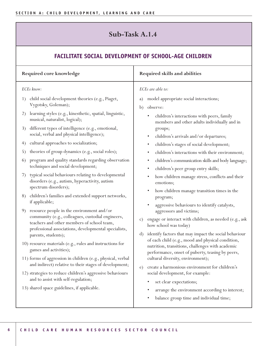# **FACILITATE SOCIAL DEVELOPMENT OF SCHOOL-AGE CHILDREN**

| Required core knowledge                                                                                                                                                                | Required skills and abilities                                                                                                                                                                         |
|----------------------------------------------------------------------------------------------------------------------------------------------------------------------------------------|-------------------------------------------------------------------------------------------------------------------------------------------------------------------------------------------------------|
| ECEs know:<br>child social development theories (e.g., Piaget,<br>1)<br>Vygotsky, Goleman);<br>learning styles (e.g., kinesthetic, spatial, linguistic,<br>2)                          | ECEs are able to:<br>model appropriate social interactions;<br>a)<br>observe:<br>b)                                                                                                                   |
| musical, naturalist, logical);<br>different types of intelligence (e.g., emotional,<br>3)<br>social, verbal and physical intelligence);<br>cultural approaches to socialization;<br>4) | children's interactions with peers, family<br>members and other adults individually and in<br>groups;<br>children's arrivals and/or departures;<br>٠<br>children's stages of social development;<br>٠ |
| theories of group dynamics (e.g., social roles);<br>5)<br>program and quality standards regarding observation<br>6)<br>techniques and social development;                              | children's interactions with their environment;<br>٠<br>children's communication skills and body language;<br>٠<br>children's peer group entry skills;<br>٠                                           |
| typical social behaviours relating to developmental<br>7)<br>disorders (e.g., autism, hyperactivity, autism<br>spectrum disorders);                                                    | how children manage stress, conflicts and their<br>emotions;<br>how children manage transition times in the<br>٠                                                                                      |
| children's families and extended support networks,<br>8)<br>if applicable;<br>resource people in the environment and/or<br>9)                                                          | program;<br>aggressive behaviours to identify catalysts,<br>aggressors and victims;                                                                                                                   |
| community (e.g., colleagues, custodial engineers,<br>teachers and other members of school team,<br>professional associations, developmental specialists,<br>parents, students);        | engage or interact with children, as needed (e.g., ask<br>$\mathbf{C}$<br>how school was today)<br>identify factors that may impact the social behaviour<br>d)                                        |
| 10) resource materials (e.g., rules and instructions for<br>games and activities);<br>11) forms of aggression in children (e.g., physical, verbal                                      | of each child (e.g., mood and physical condition,<br>nutrition, transitions, challenges with academic<br>performance, onset of puberty, teasing by peers,<br>cultural diversity, environment);        |
| and indirect) relative to their stages of development;<br>12) strategies to reduce children's aggressive behaviours<br>and to assist with self-regulation;                             | create a harmonious environment for children's<br>e)<br>social development, for example:<br>set clear expectations;                                                                                   |
| 13) shared space guidelines, if applicable.                                                                                                                                            | arrange the environment according to interest;<br>٠<br>balance group time and individual time;<br>٠                                                                                                   |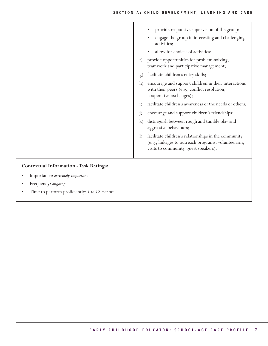| provide responsive supervision of the group;<br>engage the group in interesting and challenging<br>activities;<br>allow for choices of activities;<br>$\bullet$<br>provide opportunities for problem-solving,<br>f<br>teamwork and participative management;<br>facilitate children's entry skills;<br>$\mathbf{g}$<br>encourage and support children in their interactions<br>h)<br>with their peers (e.g., conflict resolution,<br>cooperative exchanges); |
|--------------------------------------------------------------------------------------------------------------------------------------------------------------------------------------------------------------------------------------------------------------------------------------------------------------------------------------------------------------------------------------------------------------------------------------------------------------|
| facilitate children's awareness of the needs of others;<br>i)                                                                                                                                                                                                                                                                                                                                                                                                |
| encourage and support children's friendships;<br>j)                                                                                                                                                                                                                                                                                                                                                                                                          |
| distinguish between rough and tumble play and<br>$\bf k$<br>aggressive behaviours;                                                                                                                                                                                                                                                                                                                                                                           |
| facilitate children's relationships in the community<br>$\vert$<br>(e.g., linkages to outreach programs, volunteerism,<br>visits to community, guest speakers).                                                                                                                                                                                                                                                                                              |

- Importance: *extremely important*
- Frequency: *ongoing*
- Time to perform proficiently: *1 to 12 months*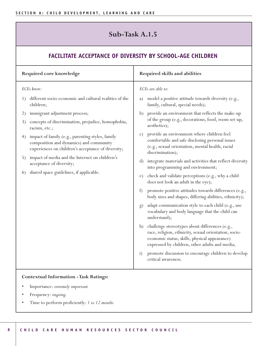# **FACILITATE ACCEPTANCE OF DIVERSITY BY SCHOOL-AGE CHILDREN**

| Required core knowledge                                                                                                                                                                                                                                                                      | Required skills and abilities                                                                                                                                                                                    |
|----------------------------------------------------------------------------------------------------------------------------------------------------------------------------------------------------------------------------------------------------------------------------------------------|------------------------------------------------------------------------------------------------------------------------------------------------------------------------------------------------------------------|
| ECEs know:                                                                                                                                                                                                                                                                                   | ECEs are able to:                                                                                                                                                                                                |
| different socio-economic and cultural realities of the<br>1)<br>children;                                                                                                                                                                                                                    | model a positive attitude towards diversity (e.g.,<br>a)<br>family, cultural, special needs);                                                                                                                    |
| immigrant adjustment process;<br>2)                                                                                                                                                                                                                                                          | provide an environment that reflects the make-up<br>b)                                                                                                                                                           |
| concepts of discrimination, prejudice, homophobia,<br>3)<br>racism, etc.;                                                                                                                                                                                                                    | of the group (e.g., decorations, food, room set-up,<br>aesthetics);                                                                                                                                              |
| impact of family (e.g., parenting styles, family<br>4)<br>composition and dynamics) and community<br>experiences on children's acceptance of diversity;<br>impact of media and the Internet on children's<br>5)<br>acceptance of diversity;<br>shared space guidelines, if applicable.<br>6) | provide an environment where children feel<br>C)<br>comfortable and safe disclosing personal issues<br>(e.g., sexual orientation, mental health, racial<br>discrimination);                                      |
|                                                                                                                                                                                                                                                                                              | integrate materials and activities that reflect diversity<br>d)<br>into programming and environment;                                                                                                             |
|                                                                                                                                                                                                                                                                                              | check and validate perceptions (e.g., why a child<br>e)<br>does not look an adult in the eye);                                                                                                                   |
|                                                                                                                                                                                                                                                                                              | promote positive attitudes towards differences (e.g.,<br>f<br>body sizes and shapes, differing abilities, ethnicity);                                                                                            |
|                                                                                                                                                                                                                                                                                              | adapt communication style to each child (e.g., use<br>g)<br>vocabulary and body language that the child can<br>understand);                                                                                      |
|                                                                                                                                                                                                                                                                                              | challenge stereotypes about differences (e.g.,<br>h)<br>race, religion, ethnicity, sexual orientation, socio-<br>economic status, skills, physical appearance)<br>expressed by children, other adults and media; |
|                                                                                                                                                                                                                                                                                              | promote discussion to encourage children to develop<br>$\mathbf{i}$<br>critical awareness.                                                                                                                       |

- Importance: *extremely important*
- Frequency: *ongoing*
- Time to perform proficiently: *1 to 12 months*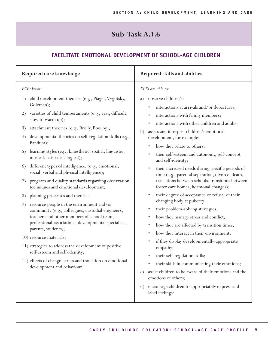# **FACILITATE EMOTIONAL DEVELOPMENT OF SCHOOL-AGE CHILDREN**

| Required core knowledge                                                                                                                                                                                                                                                                                                                                                                                                                                                                                                                                                                                                                                                                                                                                                                                                                                                                                                                                                                                                                                                                                                                  | Required skills and abilities                                                                                                                                                                                                                                                                                                                                                                                                                                                                                                                                                                                                                                                                                                                                                                                                                                                                                                                                                                                                                                                                                                                                                               |
|------------------------------------------------------------------------------------------------------------------------------------------------------------------------------------------------------------------------------------------------------------------------------------------------------------------------------------------------------------------------------------------------------------------------------------------------------------------------------------------------------------------------------------------------------------------------------------------------------------------------------------------------------------------------------------------------------------------------------------------------------------------------------------------------------------------------------------------------------------------------------------------------------------------------------------------------------------------------------------------------------------------------------------------------------------------------------------------------------------------------------------------|---------------------------------------------------------------------------------------------------------------------------------------------------------------------------------------------------------------------------------------------------------------------------------------------------------------------------------------------------------------------------------------------------------------------------------------------------------------------------------------------------------------------------------------------------------------------------------------------------------------------------------------------------------------------------------------------------------------------------------------------------------------------------------------------------------------------------------------------------------------------------------------------------------------------------------------------------------------------------------------------------------------------------------------------------------------------------------------------------------------------------------------------------------------------------------------------|
| ECEs know:<br>child development theories (e.g., Piaget, Vygotsky,<br>1)<br>Goleman);<br>varieties of child temperaments (e.g., easy, difficult,<br>2)<br>slow to warm up);<br>attachment theories (e.g., Brolly, Bowlby);<br>3)<br>developmental theories on self-regulation skills (e.g.,<br>$^{(4)}$<br>Bandura);<br>learning styles (e.g., kinesthetic, spatial, linguistic,<br>5)<br>musical, naturalist, logical);<br>different types of intelligence, (e.g., emotional,<br>6)<br>social, verbal and physical intelligence);<br>program and quality standards regarding observation<br>7)<br>techniques and emotional development;<br>planning processes and theories;<br>8)<br>resource people in the environment and/or<br>9)<br>community (e.g., colleagues, custodial engineers,<br>teachers and other members of school team,<br>professional associations, developmental specialists,<br>parents, students);<br>10) resource materials;<br>11) strategies to address the development of positive<br>self-esteem and self-identity;<br>12) effects of change, stress and transition on emotional<br>development and behaviour. | ECEs are able to:<br>observe children's:<br>a)<br>interactions at arrivals and/or departures;<br>interactions with family members;<br>$\bullet$<br>interactions with other children and adults;<br>$\bullet$<br>assess and interpret children's emotional<br>b)<br>development, for example:<br>how they relate to others;<br>their self-esteem and autonomy, self-concept<br>and self-identity;<br>their increased needs during specific periods of<br>time (e.g., parental separation, divorce, death,<br>transitions between schools, transitions between<br>foster care homes, hormonal changes);<br>their degree of acceptance or refusal of their<br>changing body at puberty;<br>their problem-solving strategies;<br>٠<br>how they manage stress and conflict;<br>how they are affected by transition times;<br>how they interact in their environment;<br>$\bullet$<br>if they display developmentally-appropriate<br>empathy;<br>their self-regulation skills;<br>their skills in communicating their emotions;<br>assist children to be aware of their emotions and the<br>C)<br>emotions of others;<br>encourage children to appropriately express and<br>d)<br>label feelings: |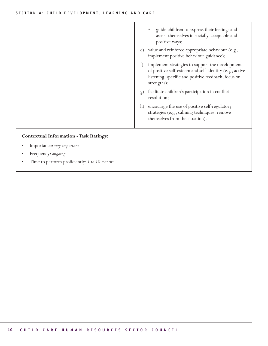|                                               | guide children to express their feelings and<br>assert themselves in socially acceptable and<br>positive ways;                                                                        |
|-----------------------------------------------|---------------------------------------------------------------------------------------------------------------------------------------------------------------------------------------|
|                                               | value and reinforce appropriate behaviour (e.g.,<br>e)<br>implement positive behaviour guidance);                                                                                     |
|                                               | implement strategies to support the development<br>f<br>of positive self-esteem and self-identity (e.g., active<br>listening, specific and positive feedback, focus on<br>strengths); |
|                                               | facilitate children's participation in conflict<br>$\mathbf{g}$<br>resolution;                                                                                                        |
|                                               | encourage the use of positive self-regulatory<br>h)<br>strategies (e.g., calming techniques, remove<br>themselves from the situation).                                                |
| <b>Contextual Information - Task Ratings:</b> |                                                                                                                                                                                       |

- Importance: *very important*
- Frequency: *ongoing*
- Time to perform proficiently: *1 to 10 months*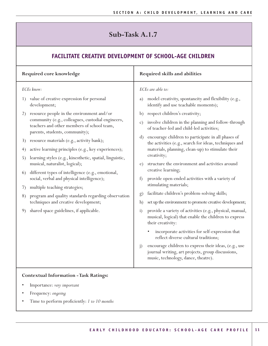# **FACILITATE CREATIVE DEVELOPMENT OF SCHOOL-AGE CHILDREN**

| Required core knowledge                                                                           | <b>Required skills and abilities</b>                                                                                                                    |  |
|---------------------------------------------------------------------------------------------------|---------------------------------------------------------------------------------------------------------------------------------------------------------|--|
| ECEs know:                                                                                        | ECEs are able to:                                                                                                                                       |  |
| value of creative expression for personal<br>1)<br>development;                                   | model creativity, spontaneity and flexibility (e.g.,<br>a)<br>identify and use teachable moments);                                                      |  |
| 2) resource people in the environment and/or<br>community (e.g., colleagues, custodial engineers, | respect children's creativity;<br>b)                                                                                                                    |  |
| teachers and other members of school team,<br>parents, students, community);                      | involve children in the planning and follow-through<br>C)<br>of teacher-led and child-led activities;                                                   |  |
| resource materials (e.g., activity bank);<br>3)                                                   | encourage children to participate in all phases of<br><b>d</b> )<br>the activities (e.g., search for ideas, techniques and                              |  |
| active learning principles (e.g., key experiences);<br>4)                                         | materials, planning, clean-up) to stimulate their                                                                                                       |  |
| learning styles (e.g., kinesthetic, spatial, linguistic,<br>5)<br>musical, naturalist, logical);  | creativity;<br>structure the environment and activities around                                                                                          |  |
| different types of intelligence (e.g., emotional,<br>6)                                           | e)<br>creative learning;                                                                                                                                |  |
| social, verbal and physical intelligence);                                                        | provide open-ended activities with a variety of<br>f                                                                                                    |  |
| multiple teaching strategies;<br>7)                                                               | stimulating materials;                                                                                                                                  |  |
| program and quality standards regarding observation<br>8)                                         | facilitate children's problem-solving skills;<br>$\mathbf{g}$                                                                                           |  |
| techniques and creative development;                                                              | set up the environment to promote creative development;<br>h)                                                                                           |  |
| shared space guidelines, if applicable.<br>9)                                                     | provide a variety of activities (e.g., physical, manual,<br>$\mathbf{i}$<br>musical, logical) that enable the children to express<br>their creativity:  |  |
|                                                                                                   | incorporate activities for self-expression that<br>reflect diverse cultural traditions;                                                                 |  |
|                                                                                                   | encourage children to express their ideas, (e.g., use<br>j)<br>journal writing, art projects, group discussions,<br>music, technology, dance, theatre). |  |
| <b>Contextual Information - Task Ratings:</b>                                                     |                                                                                                                                                         |  |
|                                                                                                   |                                                                                                                                                         |  |
| Importance: very important                                                                        |                                                                                                                                                         |  |

- Frequency: *ongoing*
- Time to perform proficiently: *1 to 10 months*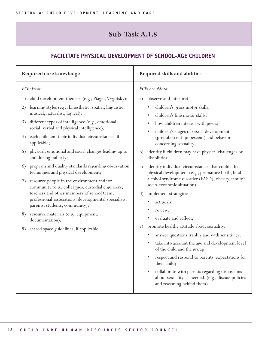# **FACILITATE PHYSICAL DEVELOPMENT OF SCHOOL-AGE CHILDREN**

| Required core knowledge                                                                                                                                                                                                                                                                                                                                                                                                                                                                                                                                                                                                                                                                                                                                                                                                                                                                                                      | Required skills and abilities                                                                                                                                                                                                                                                                                                                                                                                                                                                                                                                                                                                                                                                                                                                                                                                                                                                                                                                                                                                                                           |
|------------------------------------------------------------------------------------------------------------------------------------------------------------------------------------------------------------------------------------------------------------------------------------------------------------------------------------------------------------------------------------------------------------------------------------------------------------------------------------------------------------------------------------------------------------------------------------------------------------------------------------------------------------------------------------------------------------------------------------------------------------------------------------------------------------------------------------------------------------------------------------------------------------------------------|---------------------------------------------------------------------------------------------------------------------------------------------------------------------------------------------------------------------------------------------------------------------------------------------------------------------------------------------------------------------------------------------------------------------------------------------------------------------------------------------------------------------------------------------------------------------------------------------------------------------------------------------------------------------------------------------------------------------------------------------------------------------------------------------------------------------------------------------------------------------------------------------------------------------------------------------------------------------------------------------------------------------------------------------------------|
| ECEs know:<br>child development theories (e.g., Piaget, Vygotsky);<br>1)<br>learning styles (e.g., kinesthetic, spatial, linguistic,<br>2)<br>musical, naturalist, logical);<br>different types of intelligence (e.g., emotional,<br>3)<br>social, verbal and physical intelligence);<br>each child and their individual circumstances, if<br>4)<br>applicable;<br>physical, emotional and social changes leading up to<br>5)<br>and during puberty;<br>program and quality standards regarding observation<br>6)<br>techniques and physical development;<br>resource people in the environment and/or<br>7)<br>community (e.g., colleagues, custodial engineers,<br>teachers and other members of school team,<br>professional associations, developmental specialists,<br>parents, students, community);<br>resource materials (e.g., equipment,<br>8)<br>documentation);<br>shared space guidelines, if applicable.<br>9) | ECEs are able to:<br>observe and interpret:<br>a)<br>children's gross motor skills;<br>children's fine motor skills;<br>how children interact with peers;<br>children's stages of sexual development<br>٠<br>(prepubescent, pubescent) and behavior<br>concerning sexuality;<br>identify if children may have physical challenges or<br>b)<br>disabilities;<br>identify individual circumstances that could affect<br>C)<br>physical development (e.g., premature birth, fetal<br>alcohol syndrome disorder (FASD), obesity, family's<br>socio-economic situation);<br>implement strategies:<br>d)<br>set goals;<br>review;<br>evaluate and reflect;<br>promote healthy attitude about sexuality:<br>e)<br>answer questions frankly and with sensitivity;<br>take into account the age and development level<br>of the child and the group;<br>respect and respond to parents' expectations for<br>their child;<br>collaborate with parents regarding discussions<br>about sexuality, as needed, (e.g., discuss policies<br>and reasoning behind them). |
|                                                                                                                                                                                                                                                                                                                                                                                                                                                                                                                                                                                                                                                                                                                                                                                                                                                                                                                              |                                                                                                                                                                                                                                                                                                                                                                                                                                                                                                                                                                                                                                                                                                                                                                                                                                                                                                                                                                                                                                                         |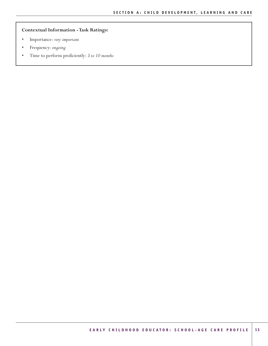- Importance: *very important*
- Frequency: *ongoing*
- Time to perform proficiently: *3 to 10 months*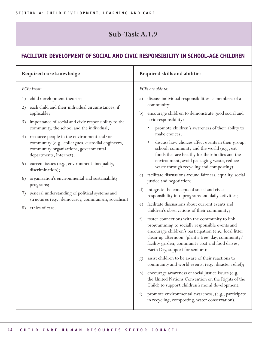# **FACILITATE DEVELOPMENT OF SOCIAL AND CIVIC RESPONSIBILITY IN SCHOOL-AGE CHILDREN**

| Required core knowledge                                                                                                                                                                                                                                                                                                                                                                                                                                                                                                                                                                                                                                                                                   | Required skills and abilities                                                                                                                                                                                                                                                                                                                                                                                                                                                                                                                                                                                                                                                                                                                                                                                                                                                                                                                                                                           |
|-----------------------------------------------------------------------------------------------------------------------------------------------------------------------------------------------------------------------------------------------------------------------------------------------------------------------------------------------------------------------------------------------------------------------------------------------------------------------------------------------------------------------------------------------------------------------------------------------------------------------------------------------------------------------------------------------------------|---------------------------------------------------------------------------------------------------------------------------------------------------------------------------------------------------------------------------------------------------------------------------------------------------------------------------------------------------------------------------------------------------------------------------------------------------------------------------------------------------------------------------------------------------------------------------------------------------------------------------------------------------------------------------------------------------------------------------------------------------------------------------------------------------------------------------------------------------------------------------------------------------------------------------------------------------------------------------------------------------------|
| ECEs know:<br>child development theories;<br>1)<br>each child and their individual circumstances, if<br>2)<br>applicable;<br>importance of social and civic responsibility to the<br>3)<br>community, the school and the individual;<br>resource people in the environment and/or<br>4)<br>community (e.g., colleagues, custodial engineers,<br>community organizations, governmental<br>departments, Internet);<br>current issues (e.g., environment, inequality,<br>5)<br>discrimination);<br>organization's environmental and sustainability<br>6)<br>programs;<br>general understanding of political systems and<br>7)<br>structures (e.g., democracy, communism, socialism)<br>ethics of care.<br>8) | ECEs are able to:<br>discuss individual responsibilities as members of a<br>a)<br>community;<br>encourage children to demonstrate good social and<br>b)<br>civic responsibility:<br>promote children's awareness of their ability to<br>make choices;<br>discuss how choices affect events in their group,<br>٠<br>school, community and the world (e.g., eat<br>foods that are healthy for their bodies and the<br>environment, avoid packaging waste, reduce<br>waste through recycling and composting);<br>facilitate discussions around fairness, equality, social<br>$\mathcal{C}$<br>justice and negotiation;<br>integrate the concepts of social and civic<br>d)<br>responsibility into programs and daily activities;<br>facilitate discussions about current events and<br>e)<br>children's observations of their community;<br>f<br>foster connections with the community to link<br>programming to socially responsible events and<br>encourage children's participation (e.g., local litter |
|                                                                                                                                                                                                                                                                                                                                                                                                                                                                                                                                                                                                                                                                                                           | clean-up afternoon, 'plant a tree' day, community/<br>facility garden, community coat and food drives,                                                                                                                                                                                                                                                                                                                                                                                                                                                                                                                                                                                                                                                                                                                                                                                                                                                                                                  |
|                                                                                                                                                                                                                                                                                                                                                                                                                                                                                                                                                                                                                                                                                                           | Earth Day, support for seniors);<br>assist children to be aware of their reactions to<br>g)<br>community and world events, (e.g., disaster relief);                                                                                                                                                                                                                                                                                                                                                                                                                                                                                                                                                                                                                                                                                                                                                                                                                                                     |
|                                                                                                                                                                                                                                                                                                                                                                                                                                                                                                                                                                                                                                                                                                           | encourage awareness of social justice issues (e.g.,<br>h)<br>the United Nations Convention on the Rights of the<br>Child) to support children's moral development;<br>promote environmental awareness, (e.g., participate<br>i)<br>in recycling, composting, water conservation).                                                                                                                                                                                                                                                                                                                                                                                                                                                                                                                                                                                                                                                                                                                       |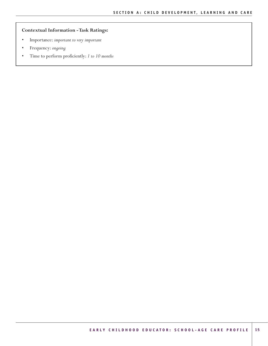- Importance: *important to very important*
- Frequency: *ongoing*
- Time to perform proficiently: *1 to 10 months*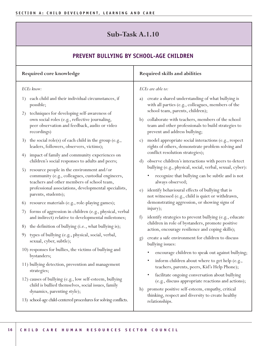# **PREVENT BULLYING BY SCHOOL-AGE CHILDREN**

| Required core knowledge                                                                                                                                             | Required skills and abilities                                                                                                                                         |
|---------------------------------------------------------------------------------------------------------------------------------------------------------------------|-----------------------------------------------------------------------------------------------------------------------------------------------------------------------|
| ECEs know:                                                                                                                                                          | ECEs are able to:                                                                                                                                                     |
| each child and their individual circumstances, if<br>1)<br>possible;                                                                                                | create a shared understanding of what bullying is<br>a)<br>with all parties (e.g., colleagues, members of the<br>school team, parents, children);                     |
| techniques for developing self-awareness of<br>2)<br>own social roles (e.g., reflective journaling,<br>peer observation and feedback, audio or video<br>recordings) | collaborate with teachers, members of the school<br>b)<br>team and other professionals to build strategies to<br>prevent and address bullying;                        |
| the social role(s) of each child in the group (e.g.,<br>3)<br>leaders, followers, observers, victims);                                                              | model appropriate social interactions (e.g., respect<br>$\mathcal{C}$ )<br>rights of others, demonstrate problem solving and                                          |
| impact of family and community experiences on<br>4)<br>children's social responses to adults and peers;<br>resource people in the environment and/or<br>5)          | conflict resolution strategies);<br>observe children's interactions with peers to detect<br>$\mathbf{d}$<br>bullying (e.g., physical, social, verbal, sexual, cyber): |
| community (e.g., colleagues, custodial engineers,<br>teachers and other members of school team,<br>professional associations, developmental specialists,            | recognize that bullying can be subtle and is not<br>always observed;                                                                                                  |
| parents, students);<br>resource materials (e.g., role-playing games);<br>6)                                                                                         | identify behavioural effects of bullying that is<br>e)<br>not witnessed (e.g., child is quiet or withdrawn,<br>demonstrating aggression, or showing signs of          |
| forms of aggression in children (e.g., physical, verbal<br>7)<br>and indirect) relative to developmental milestones;                                                | injury);<br>identify strategies to prevent bullying (e.g., educate<br>f                                                                                               |
| the definition of bullying (i.e., what bullying is);<br>8)                                                                                                          | children in role of bystanders, promote positive<br>action, encourage resilience and coping skills);                                                                  |
| types of bullying (e.g., physical, social, verbal,<br>9)<br>sexual, cyber, subtle);                                                                                 | create a safe environment for children to discuss<br>$\mathbf{g}$<br>bullying issues:                                                                                 |
| 10) responses for bullies, the victims of bullying and<br>bystanders;                                                                                               | encourage children to speak out against bullying;                                                                                                                     |
| 11) bullying detection, prevention and management<br>strategies;                                                                                                    | inform children about where to get help (e.g.,<br>teachers, parents, peers, Kid's Help Phone);                                                                        |
| 12) causes of bullying (e.g., low self-esteem, bullying<br>child is bullied themselves, social issues, family<br>dynamics, parenting style);                        | facilitate ongoing conversation about bullying<br>(e.g., discuss appropriate reactions and actions);<br>promote positive self-esteem, empathy, critical<br>h)         |
| 13) school-age child-centered procedures for solving conflicts.                                                                                                     | thinking, respect and diversity to create healthy<br>relationships.                                                                                                   |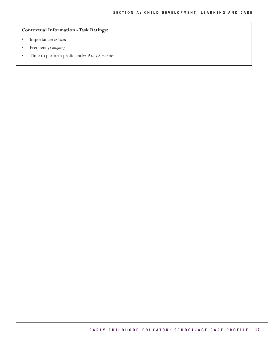- Importance: *critical*
- Frequency: *ongoing*
- Time to perform proficiently: *9 to 12 months*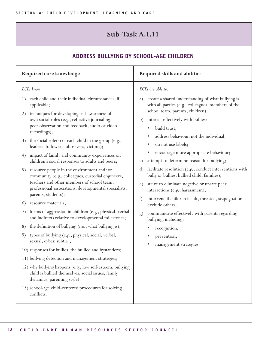# **ADDRESS BULLYING BY SCHOOL-AGE CHILDREN**

| Required core knowledge                                                                                                                                                                                                                                                                | Required skills and abilities                                                                                                                                                                                      |
|----------------------------------------------------------------------------------------------------------------------------------------------------------------------------------------------------------------------------------------------------------------------------------------|--------------------------------------------------------------------------------------------------------------------------------------------------------------------------------------------------------------------|
| ECEs know:                                                                                                                                                                                                                                                                             | ECEs are able to:                                                                                                                                                                                                  |
| each child and their individual circumstances, if<br>1)<br>applicable;<br>techniques for developing self-awareness of<br>2)<br>own social roles (e.g., reflective journaling,<br>peer observation and feedback, audio or video<br>recordings);                                         | create a shared understanding of what bullying is<br>a)<br>with all parties (e.g., colleagues, members of the<br>school team, parents, children);<br>interact effectively with bullies:<br>b)<br>build trust;<br>٠ |
| the social role(s) of each child in the group (e.g.,<br>3)<br>leaders, followers, observers, victims);<br>impact of family and community experiences on<br>$^{(4)}$                                                                                                                    | address behaviour, not the individual;<br>do not use labels;<br>٠<br>encourage more appropriate behaviour;<br>attempt to determine reason for bullying;                                                            |
| children's social responses to adults and peers;<br>resource people in the environment and/or<br>5)<br>community (e.g., colleagues, custodial engineers,<br>teachers and other members of school team,<br>professional associations, developmental specialists,<br>parents, students); | C)<br>facilitate resolution (e.g., conduct interventions with<br>d)<br>bully or bullies, bullied child, families);<br>strive to eliminate negative or unsafe peer<br>e)<br>interactions (e.g., harassment);        |
| resource materials;<br>6)                                                                                                                                                                                                                                                              | intervene if children insult, threaten, scapegoat or<br>f<br>exclude others;                                                                                                                                       |
| forms of aggression in children (e.g., physical, verbal<br>7)<br>and indirect) relative to developmental milestones;                                                                                                                                                                   | communicate effectively with parents regarding<br>$\mathbf{g}$<br>bullying, including:                                                                                                                             |
| the definition of bullying (i.e., what bullying is);<br>8)                                                                                                                                                                                                                             | recognition;                                                                                                                                                                                                       |
| types of bullying (e.g., physical, social, verbal,<br>9)<br>sexual, cyber, subtle);                                                                                                                                                                                                    | prevention;<br>٠<br>management strategies.                                                                                                                                                                         |
| 10) responses for bullies, the bullied and bystanders;                                                                                                                                                                                                                                 |                                                                                                                                                                                                                    |
| 11) bullying detection and management strategies;                                                                                                                                                                                                                                      |                                                                                                                                                                                                                    |
| 12) why bullying happens (e.g., low self-esteem, bullying<br>child is bullied themselves, social issues, family<br>dynamics, parenting style);                                                                                                                                         |                                                                                                                                                                                                                    |
| 13) school-age child-centered procedures for solving<br>conflicts.                                                                                                                                                                                                                     |                                                                                                                                                                                                                    |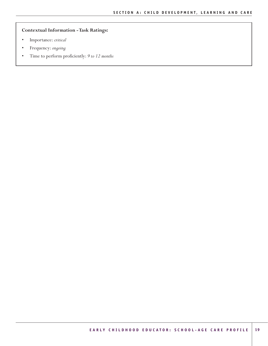- Importance: *critical*
- Frequency: *ongoing*
- Time to perform proficiently: *9 to 12 months*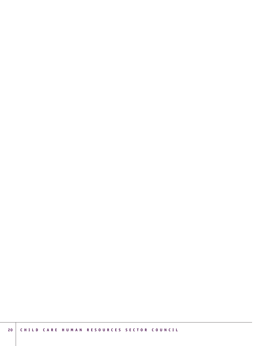### **C H I L D C A R E H U M A N R E S O U R C E S S E C T O R C O U N C I L**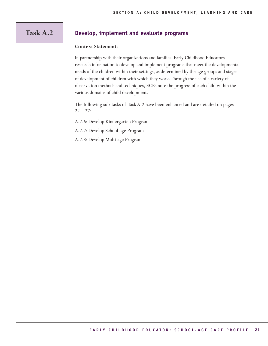# **Task A.2 Develop, implement and evaluate programs**

#### **Context Statement:**

In partnership with their organizations and families, Early Childhood Educators research information to develop and implement programs that meet the developmental needs of the children within their settings, as determined by the age groups and stages of development of children with which they work. Through the use of a variety of observation methods and techniques, ECEs note the progress of each child within the various domains of child development.

The following sub-tasks of Task A.2 have been enhanced and are detailed on pages  $22 - 27$ :

- A.2.6: Develop Kindergarten Program
- A.2.7: Develop School-age Program
- A.2.8: Develop Multi-age Program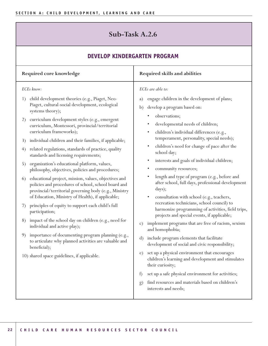# **DEVELOP KINDERGARTEN PROGRAM**

| Required core knowledge                                                                                                                                                                                                                                                                                                                                                                                                                                                                                                                                                                                                                                                                                                                                                                                                                                                                                                                                                                                                                                                                                                                                              | <b>Required skills and abilities</b>                                                                                                                                                                                                                                                                                                                                                                                                                                                                                                                                                                                                                                                                                                                                                                                                                                                                                                                                                                                                                                                                                                                                                                                                              |
|----------------------------------------------------------------------------------------------------------------------------------------------------------------------------------------------------------------------------------------------------------------------------------------------------------------------------------------------------------------------------------------------------------------------------------------------------------------------------------------------------------------------------------------------------------------------------------------------------------------------------------------------------------------------------------------------------------------------------------------------------------------------------------------------------------------------------------------------------------------------------------------------------------------------------------------------------------------------------------------------------------------------------------------------------------------------------------------------------------------------------------------------------------------------|---------------------------------------------------------------------------------------------------------------------------------------------------------------------------------------------------------------------------------------------------------------------------------------------------------------------------------------------------------------------------------------------------------------------------------------------------------------------------------------------------------------------------------------------------------------------------------------------------------------------------------------------------------------------------------------------------------------------------------------------------------------------------------------------------------------------------------------------------------------------------------------------------------------------------------------------------------------------------------------------------------------------------------------------------------------------------------------------------------------------------------------------------------------------------------------------------------------------------------------------------|
| ECEs know:<br>child development theories (e.g., Piaget, Neo-<br>1)<br>Piaget, cultural-social development, ecological<br>systems theory);<br>curriculum development styles (e.g., emergent<br>2)<br>curriculum, Montessori, provincial/territorial<br>curriculum frameworks);<br>individual children and their families, if applicable;<br>3)<br>related regulations, standards of practice, quality<br>$^{(4)}$<br>standards and licensing requirements;<br>organization's educational platform, values,<br>5)<br>philosophy, objectives, policies and procedures;<br>educational project, mission, values, objectives and<br>6)<br>policies and procedures of school, school board and<br>provincial/territorial governing body (e.g., Ministry<br>of Education, Ministry of Health), if applicable;<br>principles of equity to support each child's full<br>7)<br>participation;<br>impact of the school day on children (e.g., need for<br>8)<br>individual and active play);<br>importance of documenting program planning (e.g.,<br>9)<br>to articulate why planned activities are valuable and<br>beneficial);<br>10) shared space guidelines, if applicable. | ECEs are able to:<br>engage children in the development of plans;<br>a)<br>develop a program based on:<br>b)<br>observations;<br>developmental needs of children;<br>children's individual differences (e.g.,<br>٠<br>temperament, personality, special needs);<br>children's need for change of pace after the<br>٠<br>school day;<br>interests and goals of individual children;<br>٠<br>community resources;<br>٠<br>length and type of program (e.g., before and<br>after school, full days, professional development<br>days);<br>consultation with school (e.g., teachers,<br>٠<br>recreation technicians, school council) to<br>harmonize programming of activities, field trips,<br>projects and special events, if applicable;<br>implement programs that are free of racism, sexism<br>$\mathcal{C}$<br>and homophobia;<br>include program elements that facilitate<br>d)<br>development of social and civic responsibility;<br>set up a physical environment that encourages<br>e)<br>children's learning and development and stimulates<br>their curiosity;<br>set up a safe physical environment for activities;<br>$\ddot{\phantom{0}}$<br>find resources and materials based on children's<br>$\mathbf{g}$<br>interests and needs; |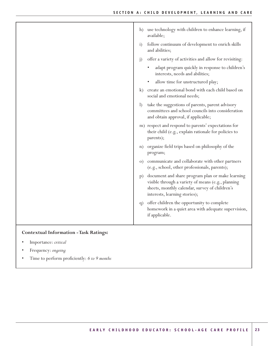| use technology with children to enhance learning, if<br>h)<br>available;                                                                                                                        |
|-------------------------------------------------------------------------------------------------------------------------------------------------------------------------------------------------|
| follow continuum of development to enrich skills<br>i)<br>and abilities;                                                                                                                        |
| offer a variety of activities and allow for revisiting:<br>j)                                                                                                                                   |
| adapt program quickly in response to children's<br>interests, needs and abilities;                                                                                                              |
| allow time for unstructured play;<br>$\bullet$                                                                                                                                                  |
| create an emotional bond with each child based on<br>$\bf k$<br>social and emotional needs;                                                                                                     |
| take the suggestions of parents, parent advisory<br>$\vert$<br>committees and school councils into consideration<br>and obtain approval, if applicable;                                         |
| m) respect and respond to parents' expectations for<br>their child (e.g., explain rationale for policies to<br>parents);                                                                        |
| organize field trips based on philosophy of the<br>n)<br>program;                                                                                                                               |
| communicate and collaborate with other partners<br>$\circ$ )<br>(e.g., school, other professionals, parents);                                                                                   |
| document and share program plan or make learning<br>p)<br>visible through a variety of means (e.g., planning<br>sheets, monthly calendar, survey of children's<br>interests, learning stories); |
| offer children the opportunity to complete<br>q)<br>homework in a quiet area with adequate supervision,<br>if applicable.                                                                       |
|                                                                                                                                                                                                 |

- Importance: *critical*
- Frequency: *ongoing*
- Time to perform proficiently: *6 to 9 months*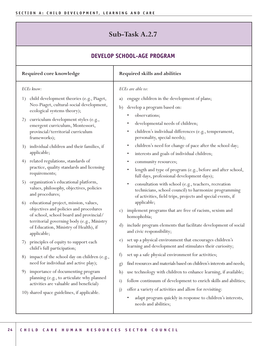# **DEVELOP SCHOOL-AGE PROGRAM**

| Required core knowledge                                                                                                                                                                                                                                                                                                                                                                                                                                                                                                                                                  | <b>Required skills and abilities</b>                                                                                                                                                                                                                                                                                                                                                                                                                                                                                                                                                                                                                                                               |  |  |
|--------------------------------------------------------------------------------------------------------------------------------------------------------------------------------------------------------------------------------------------------------------------------------------------------------------------------------------------------------------------------------------------------------------------------------------------------------------------------------------------------------------------------------------------------------------------------|----------------------------------------------------------------------------------------------------------------------------------------------------------------------------------------------------------------------------------------------------------------------------------------------------------------------------------------------------------------------------------------------------------------------------------------------------------------------------------------------------------------------------------------------------------------------------------------------------------------------------------------------------------------------------------------------------|--|--|
| ECEs know:<br>child development theories (e.g., Piaget,<br>1)<br>Neo-Piaget, cultural-social development,<br>ecological systems theory);<br>curriculum development styles (e.g.,<br>2)<br>emergent curriculum, Montessori,<br>provincial/territorial curriculum<br>frameworks);<br>individual children and their families, if<br>3)<br>applicable;<br>related regulations, standards of<br>4)<br>practice, quality standards and licensing<br>requirements;<br>organization's educational platform,<br>5)<br>values, philosophy, objectives, policies<br>and procedures; | ECEs are able to:<br>engage children in the development of plans;<br>a)<br>develop a program based on:<br>b)<br>observations;<br>developmental needs of children;<br>children's individual differences (e.g., temperament,<br>$\bullet$<br>personality, special needs);<br>children's need for change of pace after the school day;<br>$\bullet$<br>interests and goals of individual children;<br>$\bullet$<br>community resources;<br>length and type of program (e.g., before and after school,<br>full days, professional development days);<br>consultation with school (e.g., teachers, recreation<br>$\bullet$<br>technicians, school council) to harmonize programming                     |  |  |
| educational project, mission, values,<br>6)<br>objectives and policies and procedures<br>of school, school board and provincial/<br>territorial governing body (e.g., Ministry<br>of Education, Ministry of Health), if<br>applicable;<br>principles of equity to support each<br>7)<br>child's full participation;<br>8) impact of the school day on children (e.g.,<br>need for individual and active play);<br>importance of documenting program<br>9)<br>planning (e.g., to articulate why planned                                                                   | of activities, field trips, projects and special events, if<br>applicable;<br>implement programs that are free of racism, sexism and<br>$\mathbf{C}$<br>homophobia;<br>include program elements that facilitate development of social<br>d)<br>and civic responsibility;<br>set up a physical environment that encourages children's<br>e)<br>learning and development and stimulates their curiosity;<br>set up a safe physical environment for activities;<br>f<br>find resources and materials based on children's interests and needs;<br>g)<br>use technology with children to enhance learning, if available;<br>h)<br>follow continuum of development to enrich skills and abilities;<br>i) |  |  |
| activities are valuable and beneficial)<br>10) shared space guidelines, if applicable.                                                                                                                                                                                                                                                                                                                                                                                                                                                                                   | offer a variety of activities and allow for revisiting:<br>j)<br>adapt program quickly in response to children's interests,<br>needs and abilities;                                                                                                                                                                                                                                                                                                                                                                                                                                                                                                                                                |  |  |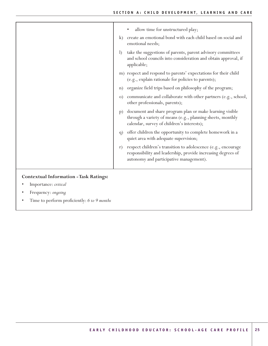| $\bf k$                                       | allow time for unstructured play;<br>$\bullet$<br>create an emotional bond with each child based on social and<br>emotional needs;                                       |
|-----------------------------------------------|--------------------------------------------------------------------------------------------------------------------------------------------------------------------------|
| $\left  \right\rangle$                        | take the suggestions of parents, parent advisory committees<br>and school councils into consideration and obtain approval, if<br>applicable;                             |
|                                               | m) respect and respond to parents' expectations for their child<br>(e.g., explain rationale for policies to parents);                                                    |
| n)                                            | organize field trips based on philosophy of the program;                                                                                                                 |
| $\circ$ )                                     | communicate and collaborate with other partners (e.g., school,<br>other professionals, parents);                                                                         |
| p)                                            | document and share program plan or make learning visible<br>through a variety of means (e.g., planning sheets, monthly<br>calendar, survey of children's interests);     |
| q)                                            | offer children the opportunity to complete homework in a<br>quiet area with adequate supervision;                                                                        |
| r)                                            | respect children's transition to adolescence (e.g., encourage<br>responsibility and leadership, provide increasing degrees of<br>autonomy and participative management). |
| <b>Contextual Information - Task Ratings:</b> |                                                                                                                                                                          |

- Importance: *critical*
- Frequency: *ongoing*
- Time to perform proficiently: *6 to 9 months*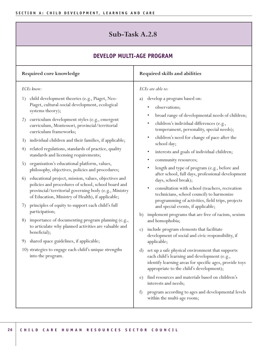# **DEVELOP MULTI-AGE PROGRAM**

| Required core knowledge                                                                                                                                                                                                                                                                                                                                                                                                                                                                                                                                                                                                                                                                                                                                                                                                                                                                                                                                                                                                                                                                                                                                | Required skills and abilities                                                                                                                                                                                                                                                                                                                                                                                                                                                                                                                                                                                                                                                                                                                                                                                                                                                                                                                                                                                                                                                                                                                                                                                                                                                                                                     |
|--------------------------------------------------------------------------------------------------------------------------------------------------------------------------------------------------------------------------------------------------------------------------------------------------------------------------------------------------------------------------------------------------------------------------------------------------------------------------------------------------------------------------------------------------------------------------------------------------------------------------------------------------------------------------------------------------------------------------------------------------------------------------------------------------------------------------------------------------------------------------------------------------------------------------------------------------------------------------------------------------------------------------------------------------------------------------------------------------------------------------------------------------------|-----------------------------------------------------------------------------------------------------------------------------------------------------------------------------------------------------------------------------------------------------------------------------------------------------------------------------------------------------------------------------------------------------------------------------------------------------------------------------------------------------------------------------------------------------------------------------------------------------------------------------------------------------------------------------------------------------------------------------------------------------------------------------------------------------------------------------------------------------------------------------------------------------------------------------------------------------------------------------------------------------------------------------------------------------------------------------------------------------------------------------------------------------------------------------------------------------------------------------------------------------------------------------------------------------------------------------------|
| ECEs know:<br>child development theories (e.g., Piaget, Neo-<br>1)<br>Piaget, cultural-social development, ecological<br>systems theory);<br>curriculum development styles (e.g., emergent<br>2)<br>curriculum, Montessori, provincial/territorial<br>curriculum frameworks;<br>individual children and their families, if applicable;<br>3)<br>related regulations, standards of practice, quality<br>$^{(4)}$<br>standards and licensing requirements;<br>organization's educational platform, values,<br>5)<br>philosophy, objectives, policies and procedures;<br>educational project, mission, values, objectives and<br>6)<br>policies and procedures of school, school board and<br>provincial/territorial governing body (e.g., Ministry<br>of Education, Ministry of Health), if applicable;<br>principles of equity to support each child's full<br>7)<br>participation;<br>importance of documenting program planning (e.g.,<br>8)<br>to articulate why planned activities are valuable and<br>beneficial);<br>shared space guidelines, if applicable;<br>9)<br>10) strategies to engage each child's unique strengths<br>into the program. | ECEs are able to:<br>develop a program based on:<br>a)<br>observations;<br>٠<br>broad range of developmental needs of children;<br>٠<br>children's individual differences (e.g.,<br>٠<br>temperament, personality, special needs);<br>children's need for change of pace after the<br>٠<br>school day;<br>interests and goals of individual children;<br>٠<br>community resources;<br>٠<br>length and type of program (e.g., before and<br>٠<br>after school, full days, professional development<br>days, school break);<br>consultation with school (teachers, recreation<br>technicians, school council) to harmonize<br>programming of activities, field trips, projects<br>and special events, if applicable;<br>implement programs that are free of racism, sexism<br>b)<br>and homophobia;<br>include program elements that facilitate<br>$\mathcal{C}$ )<br>development of social and civic responsibility, if<br>applicable;<br>set up a safe physical environment that supports<br>d)<br>each child's learning and development (e.g.,<br>identify learning areas for specific ages, provide toys<br>appropriate to the child's development);<br>find resources and materials based on children's<br>e)<br>interests and needs;<br>program according to ages and developmental levels<br>f<br>within the multi-age room; |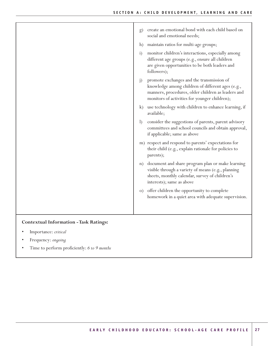|  | $\mathbf{g}$ | create an emotional bond with each child based on<br>social and emotional needs;                                                                                                                      |
|--|--------------|-------------------------------------------------------------------------------------------------------------------------------------------------------------------------------------------------------|
|  | h)           | maintain ratios for multi-age groups;                                                                                                                                                                 |
|  | i)           | monitor children's interactions, especially among<br>different age groups (e.g., ensure all children<br>are given opportunities to be both leaders and<br>followers);                                 |
|  | j)           | promote exchanges and the transmission of<br>knowledge among children of different ages (e.g.,<br>manners, procedures, older children as leaders and<br>monitors of activities for younger children); |
|  | $\mathbf{k}$ | use technology with children to enhance learning, if<br>available;                                                                                                                                    |
|  | $\vert$      | consider the suggestions of parents, parent advisory<br>committees and school councils and obtain approval,<br>if applicable; same as above                                                           |
|  |              | m) respect and respond to parents' expectations for<br>their child (e.g., explain rationale for policies to<br>parents);                                                                              |
|  | n)           | document and share program plan or make learning<br>visible through a variety of means (e.g., planning<br>sheets, monthly calendar, survey of children's<br>interests); same as above                 |
|  | $\circ$ )    | offer children the opportunity to complete<br>homework in a quiet area with adequate supervision.                                                                                                     |
|  |              |                                                                                                                                                                                                       |

- Importance: *critical*
- Frequency: *ongoing*
- Time to perform proficiently: *6 to 9 months*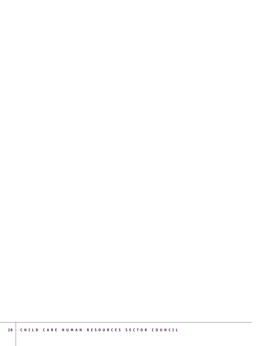### **C H I L D C A R E H U M A N R E S O U R C E S S E C T O R C O U N C I L**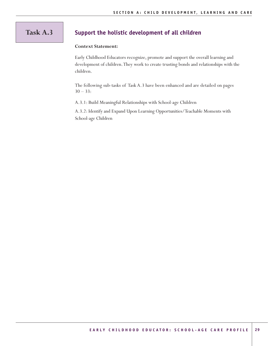# **Task A.3 Support the holistic development of all children**

#### **Context Statement:**

Early Childhood Educators recognize, promote and support the overall learning and development of children. They work to create trusting bonds and relationships with the children.

The following sub-tasks of Task A.3 have been enhanced and are detailed on pages  $30 - 33$ :

A.3.1: Build Meaningful Relationships with School-age Children

A.3.2: Identify and Expand Upon Learning Opportunities/Teachable Moments with School-age Children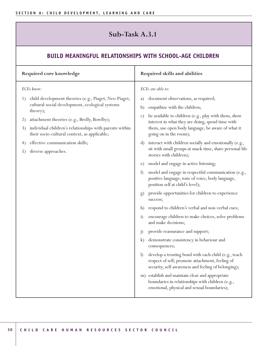# **BUILD MEANINGFUL RELATIONSHIPS WITH SCHOOL-AGE CHILDREN**

| ECEs are able to:<br>ECEs know:<br>child development theories (e.g., Piaget, Neo-Piaget,<br>document observations, as required;<br>1)<br>a)<br>cultural-social development, ecological systems<br>empathize with the children;<br>b)<br>theory);<br>be available to children (e.g., play with them, show<br>$\mathbf{C}$<br>attachment theories (e.g., Brolly, Bowlby);<br>2)<br>interest in what they are doing, spend time with<br>them, use open body language, be aware of what it<br>individual children's relationships with parents within<br>3)<br>their socio-cultural context, as applicable;<br>going on in the room);<br>effective communication skills;<br>interact with children socially and emotionally (e.g.,<br>4)<br>d)<br>sit with small groups at snack time, share personal life<br>diverse approaches.<br>5)<br>stories with children);<br>model and engage in active listening;<br>e)<br>model and engage in respectful communication (e.g.,<br>$\ddot{\phantom{1}}$<br>positive language, tone of voice, body language,<br>position self at child's level); | Required core knowledge | <b>Required skills and abilities</b>                             |
|--------------------------------------------------------------------------------------------------------------------------------------------------------------------------------------------------------------------------------------------------------------------------------------------------------------------------------------------------------------------------------------------------------------------------------------------------------------------------------------------------------------------------------------------------------------------------------------------------------------------------------------------------------------------------------------------------------------------------------------------------------------------------------------------------------------------------------------------------------------------------------------------------------------------------------------------------------------------------------------------------------------------------------------------------------------------------------------|-------------------------|------------------------------------------------------------------|
| success;<br>respond to children's verbal and non-verbal cues;<br>h)<br>encourage children to make choices, solve problems<br>$\mathbf{i}$<br>and make decisions;<br>provide reassurance and support;<br>j)<br>demonstrate consistency in behaviour and<br>$\mathbf{k}$<br>consequences;<br>develop a trusting bond with each child (e.g., teach<br>$\mathbf{I}$<br>respect of self; promote attachment, feeling of<br>security, self-awareness and feeling of belonging);<br>establish and maintain clear and appropriate<br>m)<br>boundaries in relationships with children (e.g.,<br>emotional, physical and sexual boundaries);                                                                                                                                                                                                                                                                                                                                                                                                                                                   |                         | provide opportunities for children to experience<br>$\mathbf{g}$ |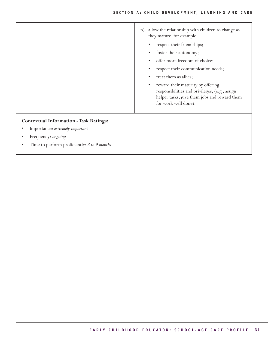| allow the relationship with children to change as<br>n)<br>they mature, for example:<br>respect their friendships;<br>$\bullet$<br>foster their autonomy;<br>$\bullet$<br>offer more freedom of choice;<br>$\bullet$<br>respect their communication needs;<br>$\bullet$ |
|-------------------------------------------------------------------------------------------------------------------------------------------------------------------------------------------------------------------------------------------------------------------------|
| treat them as allies;<br>$\bullet$<br>reward their maturity by offering<br>$\bullet$<br>responsibilities and privileges, (e.g., assign<br>helper tasks, give them jobs and reward them<br>for work well done).                                                          |

- Importance: *extremely important*
- Frequency: *ongoing*
- Time to perform proficiently: *3 to 9 months*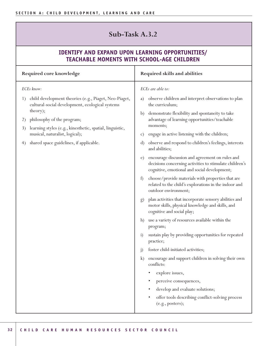| Sub-Task A.3.2                     |                                                                                                                                                                                                                                                                                                                                                 |                                     |                                                                                                                                                                                                                                                                                                                                                                                                                                                                                                                                                                                                                                                                                                                                      |  |
|------------------------------------|-------------------------------------------------------------------------------------------------------------------------------------------------------------------------------------------------------------------------------------------------------------------------------------------------------------------------------------------------|-------------------------------------|--------------------------------------------------------------------------------------------------------------------------------------------------------------------------------------------------------------------------------------------------------------------------------------------------------------------------------------------------------------------------------------------------------------------------------------------------------------------------------------------------------------------------------------------------------------------------------------------------------------------------------------------------------------------------------------------------------------------------------------|--|
|                                    | <b>IDENTIFY AND EXPAND UPON LEARNING OPPORTUNITIES/</b><br><b>TEACHABLE MOMENTS WITH SCHOOL-AGE CHILDREN</b>                                                                                                                                                                                                                                    |                                     |                                                                                                                                                                                                                                                                                                                                                                                                                                                                                                                                                                                                                                                                                                                                      |  |
|                                    | Required core knowledge                                                                                                                                                                                                                                                                                                                         |                                     | Required skills and abilities                                                                                                                                                                                                                                                                                                                                                                                                                                                                                                                                                                                                                                                                                                        |  |
|                                    |                                                                                                                                                                                                                                                                                                                                                 |                                     | ECEs are able to:                                                                                                                                                                                                                                                                                                                                                                                                                                                                                                                                                                                                                                                                                                                    |  |
| ECEs know:<br>1)<br>2)<br>3)<br>4) | child development theories (e.g., Piaget, Neo-Piaget,<br>a)<br>cultural-social development, ecological systems<br>theory);<br>philosophy of the program;<br>learning styles (e.g., kinesthetic, spatial, linguistic,<br>musical, naturalist, logical);<br>$\mathcal{C}$ )<br>shared space guidelines, if applicable.<br>d)<br>f<br>$\mathbf{g}$ | b)<br>e)                            | observe children and interpret observations to plan<br>the curriculum;<br>demonstrate flexibility and spontaneity to take<br>advantage of learning opportunities/teachable<br>moments;<br>engage in active listening with the children;<br>observe and respond to children's feelings, interests<br>and abilities;<br>encourage discussion and agreement on rules and<br>decisions concerning activities to stimulate children's<br>cognitive, emotional and social development;<br>choose/provide materials with properties that are<br>related to the child's explorations in the indoor and<br>outdoor environment;<br>plan activities that incorporate sensory abilities and<br>motor skills, physical knowledge and skills, and |  |
|                                    |                                                                                                                                                                                                                                                                                                                                                 | h)<br>$\mathbf{i}$<br>j)<br>$\bf k$ | cognitive and social play;<br>use a variety of resources available within the<br>program;<br>sustain play by providing opportunities for repeated<br>practice;<br>foster child-initiated activities;<br>encourage and support children in solving their own<br>conflicts:<br>explore issues,<br>perceive consequences,<br>develop and evaluate solutions;<br>offer tools describing conflict-solving process<br>(e.g., posters);                                                                                                                                                                                                                                                                                                     |  |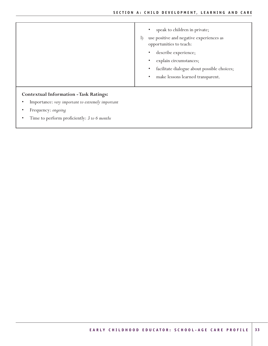|                                                                                                                                                   | speak to children in private;<br>٠<br>use positive and negative experiences as<br>opportunities to teach:<br>describe experience;<br>٠<br>explain circumstances;<br>٠<br>facilitate dialogue about possible choices;<br>make lessons learned transparent.<br>٠ |
|---------------------------------------------------------------------------------------------------------------------------------------------------|----------------------------------------------------------------------------------------------------------------------------------------------------------------------------------------------------------------------------------------------------------------|
| <b>Contextual Information - Task Ratings:</b><br>Importance: very important to extremely important<br>$\bullet$<br>Frequency: <i>ongoing</i><br>٠ |                                                                                                                                                                                                                                                                |

Time to perform proficiently: *3 to 6 months*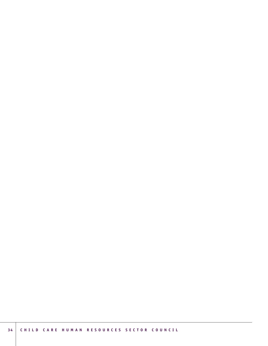#### **C H I L D C A R E H U M A N R E S O U R C E S S E C T O R C O U N C I L**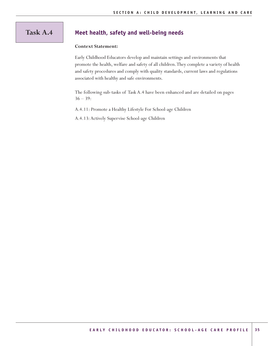# **Task A.4 Meet health, safety and well-being needs**

#### **Context Statement:**

Early Childhood Educators develop and maintain settings and environments that promote the health, welfare and safety of all children. They complete a variety of health and safety procedures and comply with quality standards, current laws and regulations associated with healthy and safe environments.

The following sub-tasks of Task A.4 have been enhanced and are detailed on pages  $36 - 39$ :

A.4.11: Promote a Healthy Lifestyle For School-age Children

A.4.13: Actively Supervise School-age Children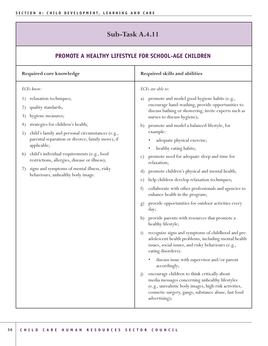# **PROMOTE A HEALTHY LIFESTYLE FOR SCHOOL-AGE CHILDREN**

| Required core knowledge                                                                                                                                                                                                                                                                                                                                                                                                                                                         | <b>Required skills and abilities</b>                                                                                                                                                                                                                                                                                                                                                                                                                                                                                                                                                                                                                                                                                      |
|---------------------------------------------------------------------------------------------------------------------------------------------------------------------------------------------------------------------------------------------------------------------------------------------------------------------------------------------------------------------------------------------------------------------------------------------------------------------------------|---------------------------------------------------------------------------------------------------------------------------------------------------------------------------------------------------------------------------------------------------------------------------------------------------------------------------------------------------------------------------------------------------------------------------------------------------------------------------------------------------------------------------------------------------------------------------------------------------------------------------------------------------------------------------------------------------------------------------|
| ECEs know:<br>relaxation techniques;<br>1)<br>quality standards;<br>2)<br>hygiene measures;<br>3)<br>strategies for children's health;<br>$^{(4)}$<br>child's family and personal circumstances (e.g.,<br>5)<br>parental separation or divorce, family move), if<br>applicable;<br>child's individual requirements (e.g., food<br>6)<br>restrictions, allergies, disease or illness);<br>signs and symptoms of mental illness, risky<br>7)<br>behaviours, unhealthy body image. | ECEs are able to:<br>promote and model good hygiene habits (e.g.,<br>a)<br>encourage hand-washing, provide opportunities to<br>discuss bathing or showering, invite experts such as<br>nurses to discuss hygiene);<br>promote and model a balanced lifestyle, for<br>b)<br>example:<br>adequate physical exercise;<br>healthy eating habits;<br>promote need for adequate sleep and time for<br>$\mathcal{C}$ )<br>relaxation;<br>promote children's physical and mental health;<br>d)<br>help children develop relaxation techniques;<br>e)<br>collaborate with other professionals and agencies to<br>f<br>enhance health in the program;<br>provide opportunities for outdoor activities every<br>$\mathbf{g}$<br>day; |
|                                                                                                                                                                                                                                                                                                                                                                                                                                                                                 | provide parents with resources that promote a<br>h)<br>healthy lifestyle;<br>recognize signs and symptoms of childhood and pre-<br>i)<br>adolescent health problems, including mental health<br>issues, social issues, and risky behaviours (e.g.,<br>eating disorders):<br>• discuss issue with supervisor and/or parent<br>accordingly;<br>encourage children to think critically about<br>j)<br>media messages concerning unhealthy lifestyles<br>(e.g., unrealistic body images, high-risk activities,<br>cosmetic surgery, gangs, substance abuse, fast food<br>advertising);                                                                                                                                        |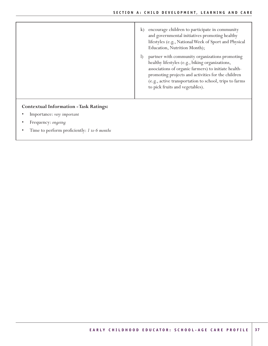| encourage children to participate in community<br>$\mathbf{k}$<br>and governmental initiatives promoting healthy<br>lifestyles (e.g., National Week of Sport and Physical<br>Education, Nutrition Month);                                                                                                    |
|--------------------------------------------------------------------------------------------------------------------------------------------------------------------------------------------------------------------------------------------------------------------------------------------------------------|
| partner with community organizations promoting<br>healthy lifestyles (e.g., biking organizations,<br>associations of organic farmers) to initiate health-<br>promoting projects and activities for the children<br>(e.g., active transportation to school, trips to farms<br>to pick fruits and vegetables). |

- Importance: *very important*
- Frequency: *ongoing*
- Time to perform proficiently: *1 to 6 months*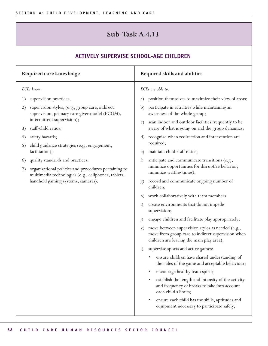# **ACTIVELY SUPERVISE SCHOOL-AGE CHILDREN**

| Required core knowledge                                                                                                              | <b>Required skills and abilities</b>                                                                                                                          |
|--------------------------------------------------------------------------------------------------------------------------------------|---------------------------------------------------------------------------------------------------------------------------------------------------------------|
| ECEs know:                                                                                                                           | ECEs are able to:                                                                                                                                             |
| supervision practices;<br>1)                                                                                                         | position themselves to maximize their view of areas;<br>a)                                                                                                    |
| supervision styles, (e.g., group care, indirect<br>2)<br>supervision, primary care giver model (PCGM),<br>intermittent supervision); | participate in activities while maintaining an<br>b)<br>awareness of the whole group;                                                                         |
| staff-child ratios;<br>3)                                                                                                            | scan indoor and outdoor facilities frequently to be<br>$\mathcal{C}$<br>aware of what is going on and the group dynamics;                                     |
| safety hazards;<br>$^{(4)}$                                                                                                          | recognize when redirection and intervention are<br>d)                                                                                                         |
| child guidance strategies (e.g., engagement,<br>5)<br>facilitation);                                                                 | required;<br>maintain child-staff ratios;<br>e)                                                                                                               |
| quality standards and practices;<br>6)<br>organizational policies and procedures pertaining to<br>7)                                 | $\mathbf{f}$<br>anticipate and communicate transitions (e.g.,<br>minimize opportunities for disruptive behavior,                                              |
| multimedia technologies (e.g., cellphones, tablets,<br>handheld gaming systems, cameras).                                            | minimize waiting times);<br>record and communicate ongoing number of<br>$\mathbf{g}$<br>children;                                                             |
|                                                                                                                                      | work collaboratively with team members;<br>h)                                                                                                                 |
|                                                                                                                                      | create environments that do not impede<br>i)<br>supervision;                                                                                                  |
|                                                                                                                                      | engage children and facilitate play appropriately;<br>j)                                                                                                      |
|                                                                                                                                      | move between supervision styles as needed (e.g.,<br>$\bf k$<br>move from group care to indirect supervision when<br>children are leaving the main play area); |
|                                                                                                                                      | supervise sports and active games:<br>$\vert$                                                                                                                 |
|                                                                                                                                      | ensure children have shared understanding of<br>the rules of the game and acceptable behaviour;                                                               |
|                                                                                                                                      | encourage healthy team spirit;<br>٠                                                                                                                           |
|                                                                                                                                      | establish the length and intensity of the activity<br>٠<br>and frequency of breaks to take into account<br>each child's limits;                               |
|                                                                                                                                      | ensure each child has the skills, aptitudes and<br>$\bullet$<br>equipment necessary to participate safely;                                                    |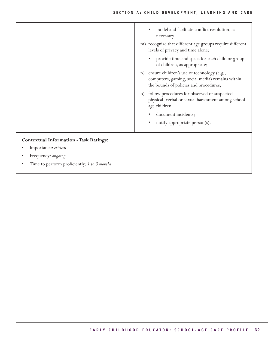| model and facilitate conflict resolution, as                                                        |
|-----------------------------------------------------------------------------------------------------|
| necessary;                                                                                          |
| m) recognize that different age groups require different                                            |
| levels of privacy and time alone:                                                                   |
| provide time and space for each child or group<br>$\bullet$<br>of children, as appropriate;         |
|                                                                                                     |
| ensure children's use of technology (e.g.,<br>n)<br>computers, gaming, social media) remains within |
| the bounds of policies and procedures;                                                              |
| follow procedures for observed or suspected<br>$\circ$ )                                            |
| physical, verbal or sexual harassment among school-                                                 |
| age children:                                                                                       |
| document incidents;                                                                                 |
| notify appropriate person(s).                                                                       |
|                                                                                                     |
|                                                                                                     |

- Importance: *critical*
- Frequency: *ongoing*
- Time to perform proficiently: *1 to 3 months*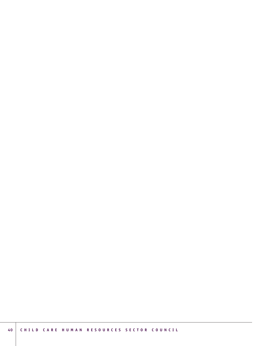#### **C H I L D C A R E H U M A N R E S O U R C E S S E C T O R C O U N C I L**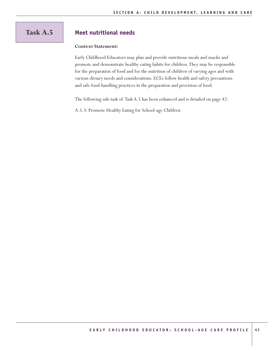# **Task A.5 Meet nutritional needs**

#### **Context Statement:**

Early Childhood Educators may plan and provide nutritious meals and snacks and promote and demonstrate healthy eating habits for children. They may be responsible for the preparation of food and for the nutrition of children of varying ages and with various dietary needs and considerations. ECEs follow health and safety precautions and safe food-handling practices in the preparation and provision of food.

The following sub-task of Task A.5 has been enhanced and is detailed on page 42:

A.5.3: Promote Healthy Eating for School-age Children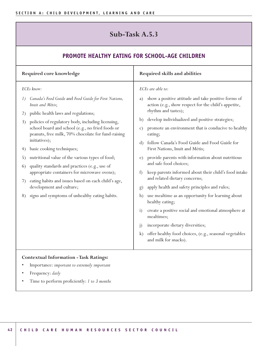|  |  | <b>PROMOTE HEALTHY EATING FOR SCHOOL-AGE CHILDREN</b> |
|--|--|-------------------------------------------------------|
|--|--|-------------------------------------------------------|

| Required core knowledge                                                                                                                                                                                                                                                                                                                                                                                                                                                                                                                                                                                                                                                              | Required skills and abilities                                                                                                                                                                                                                                                                                                                                                                                                                                                                                                                                                                                                                                                                                                                                                                                                                                                                                                            |
|--------------------------------------------------------------------------------------------------------------------------------------------------------------------------------------------------------------------------------------------------------------------------------------------------------------------------------------------------------------------------------------------------------------------------------------------------------------------------------------------------------------------------------------------------------------------------------------------------------------------------------------------------------------------------------------|------------------------------------------------------------------------------------------------------------------------------------------------------------------------------------------------------------------------------------------------------------------------------------------------------------------------------------------------------------------------------------------------------------------------------------------------------------------------------------------------------------------------------------------------------------------------------------------------------------------------------------------------------------------------------------------------------------------------------------------------------------------------------------------------------------------------------------------------------------------------------------------------------------------------------------------|
| ECEs know:<br>Canada's Food Guide and Food Guide for First Nations,<br>1)<br>Inuit and Métis;<br>public health laws and regulations;<br>2)<br>policies of regulatory body, including licensing,<br>3)<br>school board and school (e.g., no fried foods or<br>peanuts, free milk, 70% chocolate for fund-raising<br>initiatives);<br>basic cooking techniques;<br>4)<br>nutritional value of the various types of food;<br>5)<br>quality standards and practices (e.g., use of<br>6)<br>appropriate containers for microwave ovens);<br>eating habits and issues based on each child's age,<br>7)<br>development and culture;<br>signs and symptoms of unhealthy eating habits.<br>8) | ECEs are able to:<br>show a positive attitude and take positive forms of<br>a)<br>action (e.g., show respect for the child's appetite,<br>rhythm and tastes);<br>develop individualized and positive strategies;<br>b)<br>promote an environment that is conducive to healthy<br>$\mathcal{C}$ )<br>eating;<br>follow Canada's Food Guide and Food Guide for<br>$\mathrm{d}$<br>First Nations, Inuit and Métis;<br>provide parents with information about nutritious<br>e)<br>and safe food choices;<br>keep parents informed about their child's food intake<br>f<br>and related dietary concerns;<br>apply health and safety principles and rules;<br>g)<br>use mealtime as an opportunity for learning about<br>h)<br>healthy eating;<br>create a positive social and emotional atmosphere at<br>i)<br>mealtimes;<br>incorporate dietary diversities;<br>j)<br>offer healthy food choices, (e.g., seasonal vegetables<br>$\mathbf{k}$ |
|                                                                                                                                                                                                                                                                                                                                                                                                                                                                                                                                                                                                                                                                                      | and milk for snacks).                                                                                                                                                                                                                                                                                                                                                                                                                                                                                                                                                                                                                                                                                                                                                                                                                                                                                                                    |

- Importance: *important to extremely important*
- Frequency: *daily*
- Time to perform proficiently: *1 to 3 months*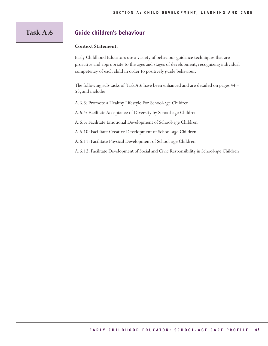## **Task A.6 Guide children's behaviour**

#### **Context Statement:**

Early Childhood Educators use a variety of behaviour guidance techniques that are proactive and appropriate to the ages and stages of development, recognizing individual competency of each child in order to positively guide behaviour.

The following sub-tasks of Task A.6 have been enhanced and are detailed on pages 44 – 53, and include:

A.6.3: Promote a Healthy Lifestyle For School-age Children

A.6.4: Facilitate Acceptance of Diversity by School-age Children

A.6.5: Facilitate Emotional Development of School-age Children

A.6.10: Facilitate Creative Development of School-age Children

A.6.11: Facilitate Physical Development of School-age Children

A.6.12: Facilitate Development of Social and Civic Responsibility in School-age Children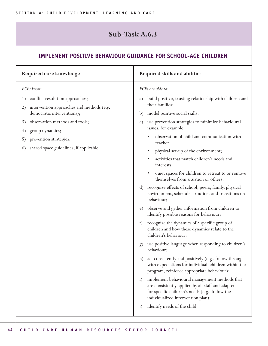# **IMPLEMENT POSITIVE BEHAVIOUR GUIDANCE FOR SCHOOL-AGE CHILDREN**

| Required core knowledge                                                        | <b>Required skills and abilities</b>                                                                                                                                                              |
|--------------------------------------------------------------------------------|---------------------------------------------------------------------------------------------------------------------------------------------------------------------------------------------------|
| ECEs know:                                                                     | ECEs are able to:                                                                                                                                                                                 |
| conflict resolution approaches;<br>1)                                          | build positive, trusting relationship with children and<br>a)<br>their families;                                                                                                                  |
| intervention approaches and methods (e.g.,<br>2)<br>democratic interventions); | model positive social skills;<br>b)                                                                                                                                                               |
| observation methods and tools;<br>3)                                           | use prevention strategies to minimize behavioural<br>$\mathcal{C}$ )<br>issues, for example:                                                                                                      |
| group dynamics;<br>4)<br>prevention strategies;<br>5)                          | observation of child and communication with                                                                                                                                                       |
| shared space guidelines, if applicable.<br>6)                                  | teacher;<br>physical set-up of the environment;<br>٠                                                                                                                                              |
|                                                                                | activities that match children's needs and<br>٠<br>interests;                                                                                                                                     |
|                                                                                | quiet spaces for children to retreat to or remove<br>٠<br>themselves from situation or others;                                                                                                    |
|                                                                                | recognize effects of school, peers, family, physical<br>$\mathbf{d}$<br>environment, schedules, routines and transitions on<br>behaviour;                                                         |
|                                                                                | observe and gather information from children to<br>e)<br>identify possible reasons for behaviour;                                                                                                 |
|                                                                                | recognize the dynamics of a specific group of<br>f<br>children and how these dynamics relate to the<br>children's behaviour;                                                                      |
|                                                                                | use positive language when responding to children's<br>$\mathbf{g}$<br>behaviour;                                                                                                                 |
|                                                                                | h) act consistently and positively (e.g., follow through<br>with expectations for individual children within the<br>program, reinforce appropriate behaviour);                                    |
|                                                                                | implement behavioural management methods that<br>i)<br>are consistently applied by all staff and adapted<br>for specific children's needs (e.g., follow the<br>individualized intervention plan); |
|                                                                                | identify needs of the child;<br>j)                                                                                                                                                                |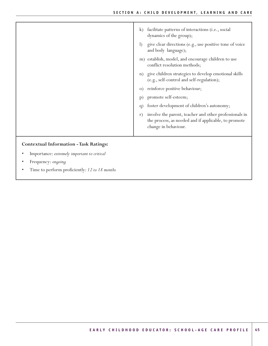| facilitate patterns of interactions (i.e., social<br>$\mathbf{k}$<br>dynamics of the group);                                                 |
|----------------------------------------------------------------------------------------------------------------------------------------------|
| give clear directions (e.g., use positive tone of voice<br>$\mathbf{I}$<br>and body language);                                               |
| m) establish, model, and encourage children to use<br>conflict resolution methods;                                                           |
| give children strategies to develop emotional skills<br>n)<br>(e.g., self-control and self-regulation);                                      |
| reinforce positive behaviour;<br>$\overline{O}$ )                                                                                            |
| promote self-esteem;<br>p)                                                                                                                   |
| foster development of children's autonomy;<br>q)                                                                                             |
| involve the parent, teacher and other professionals in<br>r)<br>the process, as needed and if applicable, to promote<br>change in behaviour. |
| <b>Contextual Information - Task Ratings:</b>                                                                                                |
| Importance: extremely important to critical                                                                                                  |

- Frequency: *ongoing*
- Time to perform proficiently: *12 to 18 months*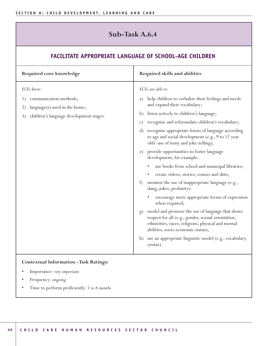# **FACILITATE APPROPRIATE LANGUAGE OF SCHOOL-AGE CHILDREN**

| Required core knowledge                                                                                                            | Required skills and abilities                                                                                                                                                                                                                                                                                                                                                                                                                                                                                                                                                                                                                                                                                                                                                                                                                                                                                                                                                                                                                                 |
|------------------------------------------------------------------------------------------------------------------------------------|---------------------------------------------------------------------------------------------------------------------------------------------------------------------------------------------------------------------------------------------------------------------------------------------------------------------------------------------------------------------------------------------------------------------------------------------------------------------------------------------------------------------------------------------------------------------------------------------------------------------------------------------------------------------------------------------------------------------------------------------------------------------------------------------------------------------------------------------------------------------------------------------------------------------------------------------------------------------------------------------------------------------------------------------------------------|
| ECEs know:<br>communication methods;<br>1)<br>language(s) used in the home;<br>2)<br>children's language development stages.<br>3) | ECEs are able to:<br>help children to verbalize their feelings and needs<br>a)<br>and expand their vocabulary;<br>listen actively to children's language;<br>$\mathbf{b}$<br>recognize and reformulate children's vocabulary;<br>$\mathcal{C}$ )<br>recognize appropriate forms of language according<br>$\mathbf{d}$<br>to age and social development (e.g., 9 to 12 year<br>olds' use of irony and joke-telling);<br>provide opportunities to foster language<br>e)<br>development, for example:<br>use books from school and municipal libraries;<br>create videos, stories, comics and skits;<br>monitor the use of inappropriate language (e.g.,<br>f<br>slang, jokes, profanity):<br>encourage more appropriate forms of expression<br>when required;<br>model and promote the use of language that shows<br>$\mathbf{g}$<br>respect for all (e.g., gender, sexual orientation,<br>ethnicities, races, religions, physical and mental<br>abilities, socio-economic status);<br>use an appropriate linguistic model (e.g., vocabulary,<br>h)<br>syntax). |

- Importance: *very important*
- Frequency: *ongoing*
- Time to perform proficiently: *1 to 6 months*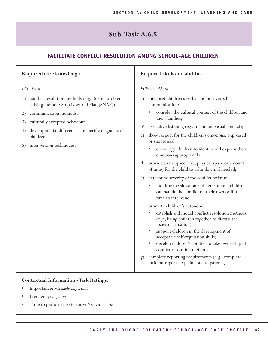# **FACILITATE CONFLICT RESOLUTION AMONG SCHOOL-AGE CHILDREN**

| Required core knowledge                                                                                                                                                                                                                                                                                 | Required skills and abilities                                                                                                                                                                                                                                                                                                                                                                                                                                                                                                                                                                                                                                                                                                                                                                                                                                                                                                                                                                                                                                                                                                                             |
|---------------------------------------------------------------------------------------------------------------------------------------------------------------------------------------------------------------------------------------------------------------------------------------------------------|-----------------------------------------------------------------------------------------------------------------------------------------------------------------------------------------------------------------------------------------------------------------------------------------------------------------------------------------------------------------------------------------------------------------------------------------------------------------------------------------------------------------------------------------------------------------------------------------------------------------------------------------------------------------------------------------------------------------------------------------------------------------------------------------------------------------------------------------------------------------------------------------------------------------------------------------------------------------------------------------------------------------------------------------------------------------------------------------------------------------------------------------------------------|
| ECEs know:<br>conflict resolution methods (e.g., 6-step problem-<br>1)<br>solving method; Stop Now and Plan (SNAP));<br>communication methods;<br>2)<br>culturally accepted behaviour;<br>3)<br>developmental differences or specific diagnoses of<br>4)<br>children;<br>intervention techniques.<br>5) | ECEs are able to:<br>interpret children's verbal and non-verbal<br>a)<br>communication:<br>consider the cultural context of the children and<br>their families;<br>use active listening (e.g., maintain visual contact);<br>b)<br>show respect for the children's emotions, expressed<br>C)<br>or suppressed;<br>encourage children to identify and express their<br>emotions appropriately;<br>provide a safe space (i.e., physical space or amount<br>d)<br>of time) for the child to calm down, if needed;<br>determine severity of the conflict or issue:<br>e)<br>monitor the situation and determine if children<br>can handle the conflict on their own or if it is<br>time to intervene;<br>promote children's autonomy:<br>f<br>establish and model conflict resolution methods<br>(e.g., bring children together to discuss the<br>issues or situation);<br>support children in the development of<br>acceptable self-regulation skills;<br>develop children's abilities to take ownership of<br>conflict resolution methods;<br>complete reporting requirements (e.g., complete<br>$\mathbf{g}$<br>incident report, explain issue to parents). |

- Importance: *extremely important*
- Frequency: *ongoing*
- Time to perform proficiently: *6 to 18 months*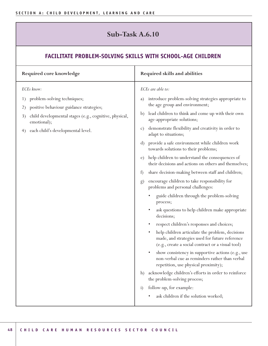# **FACILITATE PROBLEM-SOLVING SKILLS WITH SCHOOL-AGE CHILDREN**

| <b>Required core knowledge</b>                                                                                                                                                                                                   | <b>Required skills and abilities</b>                                                                                                                                                                                                                                                                                                                                                                                                                                                                                                                                                                                                                                                                                                                                                                                                                                                                                                                                                                                                                                                           |
|----------------------------------------------------------------------------------------------------------------------------------------------------------------------------------------------------------------------------------|------------------------------------------------------------------------------------------------------------------------------------------------------------------------------------------------------------------------------------------------------------------------------------------------------------------------------------------------------------------------------------------------------------------------------------------------------------------------------------------------------------------------------------------------------------------------------------------------------------------------------------------------------------------------------------------------------------------------------------------------------------------------------------------------------------------------------------------------------------------------------------------------------------------------------------------------------------------------------------------------------------------------------------------------------------------------------------------------|
| ECEs know:<br>problem-solving techniques;<br>1)<br>positive behaviour guidance strategies;<br>2)<br>child developmental stages (e.g., cognitive, physical,<br>3)<br>emotional);<br>each child's developmental level.<br>$^{(4)}$ | ECEs are able to:<br>introduce problem-solving strategies appropriate to<br>a)<br>the age group and environment;<br>lead children to think and come up with their own<br>b)<br>age-appropriate solutions;<br>demonstrate flexibility and creativity in order to<br>$\mathcal{C}$<br>adapt to situations;<br>provide a safe environment while children work<br>d)<br>towards solutions to their problems;<br>help children to understand the consequences of<br>e)<br>their decisions and actions on others and themselves;<br>share decision-making between staff and children;<br>f<br>encourage children to take responsibility for<br>g)<br>problems and personal challenges:<br>guide children through the problem-solving<br>process;<br>ask questions to help children make appropriate<br>٠<br>decisions;<br>respect children's responses and choices;<br>٠<br>help children articulate the problem, decisions<br>$\bullet$<br>made, and strategies used for future reference<br>(e.g., create a social contract or a visual tool)<br>show consistency in supportive actions (e.g., use |
|                                                                                                                                                                                                                                  | non-verbal cue as reminders rather than verbal<br>repetition, use physical proximity);                                                                                                                                                                                                                                                                                                                                                                                                                                                                                                                                                                                                                                                                                                                                                                                                                                                                                                                                                                                                         |
|                                                                                                                                                                                                                                  | acknowledge children's efforts in order to reinforce<br>h)<br>the problem-solving process;<br>follow-up, for example:<br>$_{1}$<br>ask children if the solution worked;                                                                                                                                                                                                                                                                                                                                                                                                                                                                                                                                                                                                                                                                                                                                                                                                                                                                                                                        |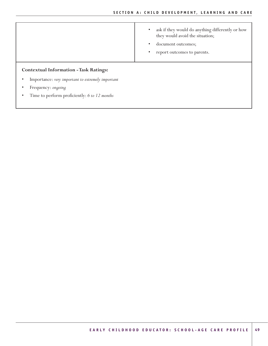| ask if they would do anything differently or how<br>$\bullet$<br>they would avoid the situation; |
|--------------------------------------------------------------------------------------------------|
| document outcomes;<br>٠                                                                          |
| report outcomes to parents.<br>٠                                                                 |

- Importance: *very important to extremely important*
- Frequency: *ongoing*
- Time to perform proficiently: *6 to 12 months*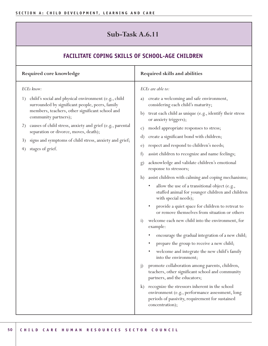# **FACILITATE COPING SKILLS OF SCHOOL-AGE CHILDREN**

| Required core knowledge                                                                                                                                                                                                                                                                                                                                                                                      | <b>Required skills and abilities</b>                                                                                                                                                                                                                                                                                                                                                                                                                                                                                                                                                                                                                                                                                                                                                                                                                                                                       |
|--------------------------------------------------------------------------------------------------------------------------------------------------------------------------------------------------------------------------------------------------------------------------------------------------------------------------------------------------------------------------------------------------------------|------------------------------------------------------------------------------------------------------------------------------------------------------------------------------------------------------------------------------------------------------------------------------------------------------------------------------------------------------------------------------------------------------------------------------------------------------------------------------------------------------------------------------------------------------------------------------------------------------------------------------------------------------------------------------------------------------------------------------------------------------------------------------------------------------------------------------------------------------------------------------------------------------------|
| ECEs know:<br>1)<br>child's social and physical environment (e.g., child<br>surrounded by significant people, peers, family<br>members, teachers, other significant school and<br>community partners);<br>causes of child stress, anxiety and grief (e.g., parental<br>2)<br>separation or divorce, moves, death);<br>signs and symptoms of child stress, anxiety and grief;<br>3)<br>stages of grief.<br>4) | ECEs are able to:<br>create a welcoming and safe environment,<br>a)<br>considering each child's maturity;<br>treat each child as unique (e.g., identify their stress<br>b)<br>or anxiety triggers);<br>model appropriate responses to stress;<br>$\mathcal{C}$<br>create a significant bond with children;<br>d)<br>respect and respond to children's needs;<br>e)<br>$\mathbf{f}$<br>assist children to recognize and name feelings;<br>acknowledge and validate children's emotional<br>$\mathbf{g}$<br>response to stressors;<br>assist children with calming and coping mechanisms;<br>h)<br>allow the use of a transitional object $(e.g.,$<br>stuffed animal for younger children and children<br>with special needs);<br>provide a quiet space for children to retreat to<br>٠<br>or remove themselves from situation or others<br>welcome each new child into the environment, for<br>$\mathbf{i}$ |
|                                                                                                                                                                                                                                                                                                                                                                                                              | example:<br>encourage the gradual integration of a new child;<br>٠<br>prepare the group to receive a new child;<br>٠<br>welcome and integrate the new child's family<br>$\bullet$<br>into the environment;<br>promote collaboration among parents, children,<br>$\left  \right)$<br>teachers, other significant school and community<br>partners, and the educators;<br>recognize the stressors inherent in the school<br>$\mathbf{k}$<br>environment (e.g., performance assessment, long<br>periods of passivity, requirement for sustained<br>concentration);                                                                                                                                                                                                                                                                                                                                            |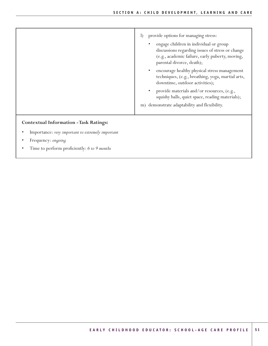|                                               | provide options for managing stress:<br>$\vert$<br>engage children in individual or group<br>$\bullet$<br>discussions regarding issues of stress or change<br>(e.g., academic failure, early puberty, moving,<br>parental divorce, death); |
|-----------------------------------------------|--------------------------------------------------------------------------------------------------------------------------------------------------------------------------------------------------------------------------------------------|
|                                               | encourage healthy physical stress management<br>$\bullet$<br>techniques, (e.g., breathing, yoga, martial arts,<br>downtime, outdoor activities);                                                                                           |
|                                               | provide materials and/or resources, (e.g.,<br>$\bullet$<br>squishy balls, quiet space, reading materials);<br>m) demonstrate adaptability and flexibility.                                                                                 |
| <b>Contextual Information - Task Ratings:</b> |                                                                                                                                                                                                                                            |

- Importance: *very important to extremely important*
- Frequency: *ongoing*
- Time to perform proficiently: *6 to 9 months*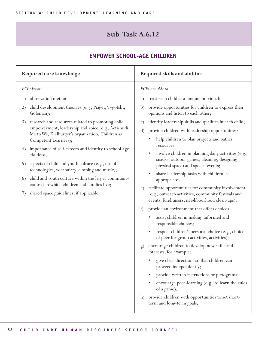# **EMPOWER SCHOOL-AGE CHILDREN**

| ECEs know:<br>ECEs are able to:<br>observation methods;<br>treat each child as a unique individual;<br>1)<br>a)<br>provide opportunities for children to express their<br>child development theories (e.g., Piaget, Vygotsky,<br>2)<br>b)<br>opinions and listen to each other;<br>Goleman);<br>research and resources related to promoting child<br>identify leadership skills and qualities in each child;<br>3)<br>C)<br>empowerment, leadership and voice (e.g., Acti-midi,<br>provide children with leadership opportunities:<br>d)<br>Me to We, Kielburger's organization, Children as<br>help children to plan projects and gather<br>Competent Learners);<br>resources;<br>importance of self-esteem and identity to school-age<br>4)<br>involve children in planning daily activities (e.g.,<br>٠<br>children;<br>snacks, outdoor games, cleaning, designing<br>aspects of child and youth culture (e.g., use of<br>5)<br>physical space) and special events;<br>technologies, vocabulary, clothing and music);<br>share leadership tasks with children, as<br>child and youth culture within the larger community<br>6)<br>appropriate;<br>context in which children and families live;<br>facilitate opportunities for community involvement<br>e)<br>shared space guidelines, if applicable.<br>7)<br>(e.g., outreach activities, community festivals and<br>events, fundraisers, neighbourhood clean-ups);<br>provide an environment that offers choices:<br>f<br>assist children in making informed and<br>responsible choices;<br>respect children's personal choice (e.g., choice<br>٠<br>of peer for group activities, activities);<br>encourage children to develop new skills and<br>$\mathbf{g}$<br>interests, for example:<br>give clear directions so that children can<br>proceed independently;<br>provide written instructions or pictograms;<br>$\bullet$<br>encourage peer-learning (e.g., to learn the rules<br>of a game);<br>provide children with opportunities to set short-<br>h) | <b>Required core knowledge</b> | Required skills and abilities |
|--------------------------------------------------------------------------------------------------------------------------------------------------------------------------------------------------------------------------------------------------------------------------------------------------------------------------------------------------------------------------------------------------------------------------------------------------------------------------------------------------------------------------------------------------------------------------------------------------------------------------------------------------------------------------------------------------------------------------------------------------------------------------------------------------------------------------------------------------------------------------------------------------------------------------------------------------------------------------------------------------------------------------------------------------------------------------------------------------------------------------------------------------------------------------------------------------------------------------------------------------------------------------------------------------------------------------------------------------------------------------------------------------------------------------------------------------------------------------------------------------------------------------------------------------------------------------------------------------------------------------------------------------------------------------------------------------------------------------------------------------------------------------------------------------------------------------------------------------------------------------------------------------------------------------------------------------------------------------------------------------------------------|--------------------------------|-------------------------------|
|                                                                                                                                                                                                                                                                                                                                                                                                                                                                                                                                                                                                                                                                                                                                                                                                                                                                                                                                                                                                                                                                                                                                                                                                                                                                                                                                                                                                                                                                                                                                                                                                                                                                                                                                                                                                                                                                                                                                                                                                                    |                                | term and long-term goals;     |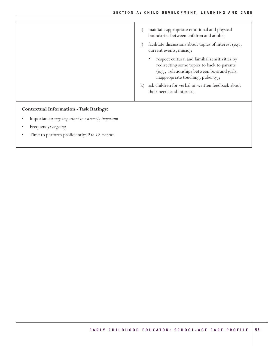|                                               | maintain appropriate emotional and physical<br>$\rm i)$<br>boundaries between children and adults;                                                                                |
|-----------------------------------------------|-----------------------------------------------------------------------------------------------------------------------------------------------------------------------------------|
|                                               | facilitate discussions about topics of interest (e.g.,<br>current events, music):                                                                                                 |
|                                               | respect cultural and familial sensitivities by<br>redirecting some topics to back to parents<br>(e.g., relationships between boys and girls,<br>inappropriate touching, puberty); |
|                                               | ask children for verbal or written feedback about<br>$\bf k$<br>their needs and interests.                                                                                        |
| <b>Contextual Information - Task Ratings:</b> |                                                                                                                                                                                   |

- Importance: *very important to extremely important*
- Frequency: *ongoing*
- Time to perform proficiently: *9 to 12 months*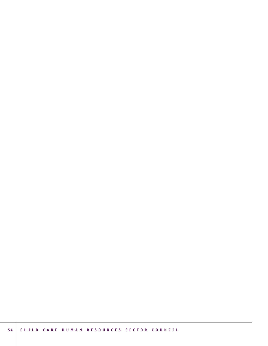#### **C H I L D C A R E H U M A N R E S O U R C E S S E C T O R C O U N C I L**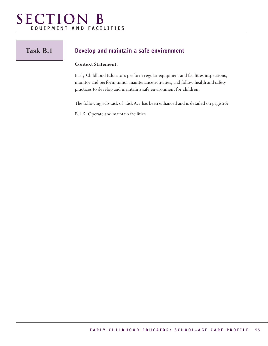# **Task B.1 Develop and maintain a safe environment**

#### **Context Statement:**

Early Childhood Educators perform regular equipment and facilities inspections, monitor and perform minor maintenance activities, and follow health and safety practices to develop and maintain a safe environment for children.

The following sub-task of Task A.5 has been enhanced and is detailed on page 56:

B.1.5: Operate and maintain facilities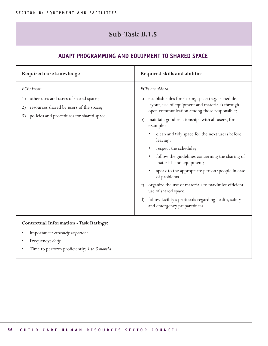# **ADAPT PROGRAMMING AND EQUIPMENT TO SHARED SPACE**

| Required core knowledge                                                                                                                                       | Required skills and abilities                                                                                                                                                                                                                                                                                                                                                                                                                                                                                                                                                                                                                                                                                          |
|---------------------------------------------------------------------------------------------------------------------------------------------------------------|------------------------------------------------------------------------------------------------------------------------------------------------------------------------------------------------------------------------------------------------------------------------------------------------------------------------------------------------------------------------------------------------------------------------------------------------------------------------------------------------------------------------------------------------------------------------------------------------------------------------------------------------------------------------------------------------------------------------|
| ECEs know:<br>other uses and users of shared space;<br>1)<br>resources shared by users of the space;<br>2)<br>policies and procedures for shared space.<br>3) | ECEs are able to:<br>establish rules for sharing space (e.g., schedule,<br>a)<br>layout, use of equipment and materials) through<br>open communication among those responsible;<br>maintain good relationships with all users, for<br>b)<br>example:<br>clean and tidy space for the next users before<br>leaving;<br>respect the schedule;<br>٠<br>follow the guidelines concerning the sharing of<br>$\bullet$<br>materials and equipment;<br>speak to the appropriate person/people in case<br>$\bullet$<br>of problems<br>organize the use of materials to maximize efficient<br>C)<br>use of shared space;<br>follow facility's protocols regarding health, safety<br>$\mathbf{d}$<br>and emergency preparedness. |

- Importance: *extremely important*
- Frequency: *daily*
- Time to perform proficiently: *1 to 3 months*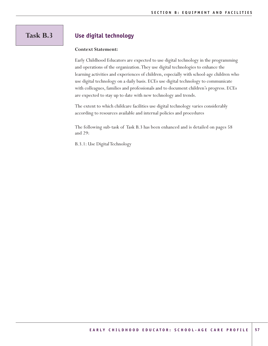# **Task B.3 Use digital technology**

#### **Context Statement:**

Early Childhood Educators are expected to use digital technology in the programming and operations of the organization. They use digital technologies to enhance the learning activities and experiences of children, especially with school-age children who use digital technology on a daily basis. ECEs use digital technology to communicate with colleagues, families and professionals and to document children's progress. ECEs are expected to stay up to date with new technology and trends.

The extent to which childcare facilities use digital technology varies considerably according to resources available and internal policies and procedures

The following sub-task of Task B.3 has been enhanced and is detailed on pages 58 and 29:

B.3.1: Use Digital Technology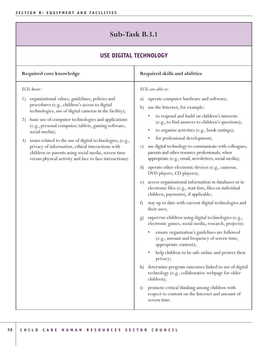# **Sub-Task B.3.1**

# **USE DIGITAL TECHNOLOGY**

| Required core knowledge                                                                                                                                                                                                                                                                                                                                                                                                                                                                                                                                          | <b>Required skills and abilities</b>                                                                                                                                                                                                                                                                                                                                                                                                                                                                                                                                                                                                                                                                                                                                                                                                                                                                                                                                                                                                                                                                                                                                                                                                                                                                                                                                                                                                    |
|------------------------------------------------------------------------------------------------------------------------------------------------------------------------------------------------------------------------------------------------------------------------------------------------------------------------------------------------------------------------------------------------------------------------------------------------------------------------------------------------------------------------------------------------------------------|-----------------------------------------------------------------------------------------------------------------------------------------------------------------------------------------------------------------------------------------------------------------------------------------------------------------------------------------------------------------------------------------------------------------------------------------------------------------------------------------------------------------------------------------------------------------------------------------------------------------------------------------------------------------------------------------------------------------------------------------------------------------------------------------------------------------------------------------------------------------------------------------------------------------------------------------------------------------------------------------------------------------------------------------------------------------------------------------------------------------------------------------------------------------------------------------------------------------------------------------------------------------------------------------------------------------------------------------------------------------------------------------------------------------------------------------|
| ECEs know:<br>organizational values, guidelines, policies and<br>1)<br>procedures (e.g., children's access to digital<br>technologies, use of digital cameras in the facility);<br>basic use of computer technologies and applications<br>2)<br>(e.g., personal computer, tablets, gaming software,<br>social media);<br>issues related to the use of digital technologies, (e.g.,<br>3)<br>privacy of information, ethical interactions with<br>children or parents using social media, screen time<br>versus physical activity and face to face interactions). | ECEs are able to:<br>operate computer hardware and software;<br>a)<br>use the Internet, for example:<br>b)<br>to respond and build on children's interests<br>(e.g., to find answers to children's questions);<br>to organize activities (e.g., book outings);<br>for professional development;<br>use digital technology to communicate with colleagues,<br>$\mathcal{C}$<br>parents and other resource professionals, when<br>appropriate (e.g., email, newsletters, social media);<br>operate other electronic devices (e.g., cameras,<br>d)<br>DVD players, CD players);<br>access organizational information in databases or in<br>e)<br>electronic files (e.g., wait lists, files on individual<br>children, payments), if applicable;<br>stay up to date with current digital technologies and<br>$\mathbf{f}$<br>their uses;<br>supervise children using digital technologies (e.g.,<br>$\left(g\right)$<br>electronic games, social media, research, projects):<br>ensure organization's guidelines are followed<br>(e.g., amount and frequency of screen time,<br>appropriate content);<br>help children to be safe online and protect their<br>privacy;<br>determine program outcomes linked to use of digital<br>h)<br>technology (e.g., collaborative webpage for older<br>children);<br>promote critical thinking among children with<br>$\mathbf{i}$<br>respect to content on the Internet and amount of<br>screen time. |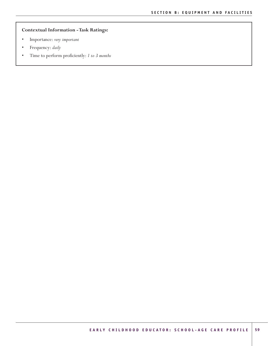- Importance: *very important*
- Frequency: *daily*
- Time to perform proficiently: *1 to 3 months*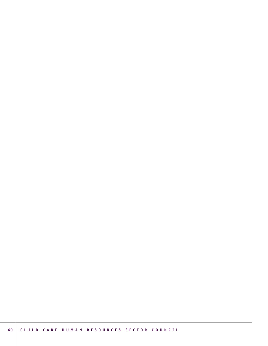#### **C H I L D C A R E H U M A N R E S O U R C E S S E C T O R C O U N C I L**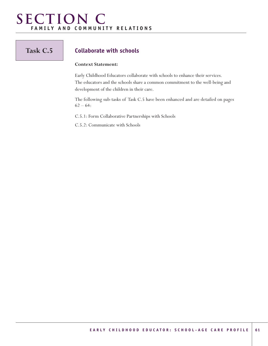# **SECTION F A M ILY AND C O M M UNITY R ELATIONS**

# **Task C.5 Collaborate with schools**

#### **Context Statement:**

Early Childhood Educators collaborate with schools to enhance their services. The educators and the schools share a common commitment to the well-being and development of the children in their care.

The following sub-tasks of Task C.5 have been enhanced and are detailed on pages  $62 - 64:$ 

C.5.1: Form Collaborative Partnerships with Schools

C.5.2: Communicate with Schools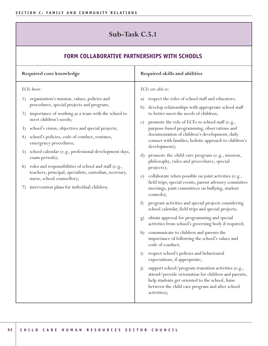# **Sub-Task C.5.1**

# **FORM COLLABORATIVE PARTNERSHIPS WITH SCHOOLS**

| Required core knowledge                                                                                                                                                                                                                                                                                                                                                                                                                                                                                                                                                                                                                            | Required skills and abilities                                                                                                                                                                                                                                                                                                                                                                                                                                                                                                                                                                                                                                                                                                                                                                                                                                                                                                                                                                                                                                                                                                                                                                                                                                                                                                                                                                                                                                     |
|----------------------------------------------------------------------------------------------------------------------------------------------------------------------------------------------------------------------------------------------------------------------------------------------------------------------------------------------------------------------------------------------------------------------------------------------------------------------------------------------------------------------------------------------------------------------------------------------------------------------------------------------------|-------------------------------------------------------------------------------------------------------------------------------------------------------------------------------------------------------------------------------------------------------------------------------------------------------------------------------------------------------------------------------------------------------------------------------------------------------------------------------------------------------------------------------------------------------------------------------------------------------------------------------------------------------------------------------------------------------------------------------------------------------------------------------------------------------------------------------------------------------------------------------------------------------------------------------------------------------------------------------------------------------------------------------------------------------------------------------------------------------------------------------------------------------------------------------------------------------------------------------------------------------------------------------------------------------------------------------------------------------------------------------------------------------------------------------------------------------------------|
| ECEs know:<br>organization's mission, values, policies and<br>1)<br>procedures, special projects and program;<br>importance of working as a team with the school to<br>2)<br>meet children's needs;<br>3)<br>school's vision, objectives and special projects;<br>school's policies, code of conduct, routines,<br>$^{(4)}$<br>emergency procedures;<br>school calendar (e.g., professional development days,<br>5)<br>exam periods);<br>roles and responsibilities of school and staff (e.g.,<br>6)<br>teachers, principal, specialists, custodian, secretary,<br>nurse, school counsellor);<br>intervention plans for individual children.<br>7) | ECEs are able to:<br>respect the roles of school staff and educators;<br>a)<br>develop relationships with appropriate school staff<br>b)<br>to better meet the needs of children;<br>promote the role of ECEs to school staff (e.g.,<br>$\mathbf{C}$<br>purpose-based programming, observations and<br>documentation of children's development, daily<br>contact with families, holistic approach to children's<br>development);<br>promote the child care program (e.g., mission,<br>$\mathbf{d}$<br>philosophy, rules and procedures, special<br>projects);<br>collaborate when possible on joint activities (e.g.,<br>e)<br>field trips, special events, parent advisory committee<br>meetings, joint committees on bullying, student<br>councils);<br>program activities and special projects considering<br>f<br>school calendar, field trips and special projects;<br>obtain approval for programming and special<br>$\mathbf{g}$<br>activities from school's governing body if required;<br>communicate to children and parents the<br>h)<br>importance of following the school's values and<br>code of conduct;<br>respect school's policies and behavioural<br>$\mathbf{i}$<br>expectations, if appropriate;<br>support school/program transition activities (e.g.,<br>j)<br>attend/provide orientation for children and parents,<br>help students get oriented to the school, liaise<br>between the child care program and after school<br>activities); |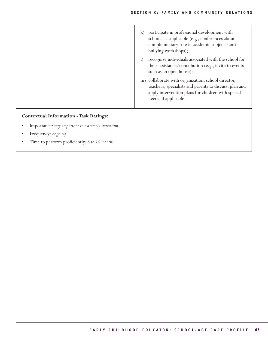| participate in professional development with<br>$\mathbf{k}$<br>schools, as applicable (e.g., conferences about<br>complementary role in academic subjects; anti-<br>bullying workshops);   |
|---------------------------------------------------------------------------------------------------------------------------------------------------------------------------------------------|
| recognize individuals associated with the school for<br>their assistance/contribution (e.g., invite to events<br>such as an open house);                                                    |
| m) collaborate with organization, school director,<br>teachers, specialists and parents to discuss, plan and<br>apply intervention plans for children with special<br>needs, if applicable. |

- Importance: *very important to extremely important*
- Frequency: *ongoing*
- Time to perform proficiently: *6 to 10 months*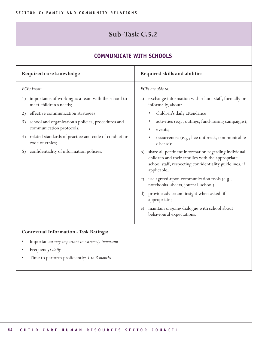# **Sub-Task C.5.2**

# **COMMUNICATE WITH SCHOOLS**

| Required core knowledge                                                              | <b>Required skills and abilities</b>                                                                                                                                                     |  |
|--------------------------------------------------------------------------------------|------------------------------------------------------------------------------------------------------------------------------------------------------------------------------------------|--|
| ECEs know:                                                                           | ECEs are able to:                                                                                                                                                                        |  |
| importance of working as a team with the school to<br>1)<br>meet children's needs;   | exchange information with school staff, formally or<br>a)<br>informally, about:                                                                                                          |  |
| effective communication strategies;<br>2)                                            | children's daily attendance                                                                                                                                                              |  |
| school and organization's policies, procedures and<br>3)<br>communication protocols; | activities (e.g., outings, fund-raising campaigns);<br>٠<br>events;                                                                                                                      |  |
| related standards of practice and code of conduct or<br>4)<br>code of ethics;        | occurrences (e.g., lice outbreak, communicable<br>disease);                                                                                                                              |  |
| confidentiality of information policies.<br>5)                                       | share all pertinent information regarding individual<br>b)<br>children and their families with the appropriate<br>school staff, respecting confidentiality guidelines, if<br>applicable; |  |
|                                                                                      | use agreed-upon communication tools (e.g.,<br>$\mathcal{C}$ )<br>notebooks, sheets, journal, school);                                                                                    |  |
|                                                                                      | provide advice and insight when asked, if<br>d)<br>appropriate;                                                                                                                          |  |
|                                                                                      | maintain ongoing dialogue with school about<br>e)<br>behavioural expectations.                                                                                                           |  |
|                                                                                      |                                                                                                                                                                                          |  |

- Importance: *very important to extremely important*
- Frequency: *daily*
- Time to perform proficiently: *1 to 3 months*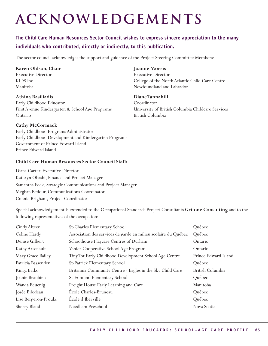# **ACKNOWLEDGEMENTS**

# **The Child Care Human Resources Sector Council wishes to express sincere appreciation to the many individuals who contributed, directly or indirectly, to this publication.**

The sector council acknowledges the support and guidance of the Project Steering Committee Members:

#### **Karen Ohlson, Chair**

Executive Director KIDS Inc. Manitoba

#### **Athina Basiliadis**

Early Childhood Educator First Avenue Kindergarten & School Age Programs Ontario

#### **Joanne Morris**

Executive Director College of the North Atlantic Child Care Centre Newfoundland and Labrador

#### **Diane Tannahill**

Coordinator University of British Columbia Childcare Services British Columbia

#### **Cathy McCormack**

Early Childhood Programs Administrator Early Childhood Development and Kindergarten Programs Government of Prince Edward Island Prince Edward Island

#### **Child Care Human Resources Sector Council Staff:**

Diana Carter, Executive Director Kathryn Ohashi, Finance and Project Manager Samantha Peek, Strategic Communications and Project Manager Meghan Bedour, Communications Coordinator Connie Brigham, Project Coordinator

Special acknowledgement is extended to the Occupational Standards Project Consultants **Grifone Consulting** and to the following representatives of the occupation:

| Cindy Alteen         | St-Charles Elementary School                                   | Québec               |
|----------------------|----------------------------------------------------------------|----------------------|
| Céline Hardy         | Association des services de garde en milieu scolaire du Québec | Québec               |
| Denise Gilbert       | Schoolhouse Playcare Centres of Durham                         | Ontario              |
| Kathy Arsenault      | Vanier Cooperative School Age Program                          | Ontario              |
| Mary Grace Bailey    | Tiny Tot Early Childhood Development School Age Centre         | Prince Edward Island |
| Patricia Bassenden   | St-Patrick Elementary School                                   | Québec               |
| Kinga Batko          | Britannia Community Centre - Eagles in the Sky Child Care      | British Columbia     |
| Joanie Beaubien      | St-Edmund Elementary School                                    | Québec               |
| Wanda Beuenig        | Freight House Early Learning and Care                          | Manitoba             |
| Josée Bilodeau       | École Charles-Bruneau                                          | Québec               |
| Lise Bergeron-Proulx | École d'Iberville                                              | Québec               |
| Sherry Bland         | Needham Preschool                                              | Nova Scotia          |
|                      |                                                                |                      |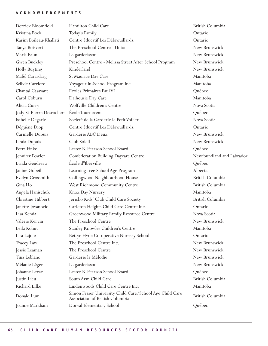| Derrick Bloomfield        | Hamilton Child Care                                                                         | British Columbia          |
|---------------------------|---------------------------------------------------------------------------------------------|---------------------------|
| Kristina Bock             | Today's Family                                                                              | Ontario                   |
| Karim Boileau-Khallati    | Centre éducatif Les Débrouillards.                                                          | Ontario                   |
| Tanya Boisvert            | The Preschool Centre - Union                                                                | New Brunswick             |
| Maria Brun                | La garderisson                                                                              | New Brunswick             |
| Gwen Buckley              | Preschool Centre - Melissa Street After School Program                                      | New Brunswick             |
| <b>Holly Buyting</b>      | Kinderland                                                                                  | New Brunswick             |
| Mafel Carardarg           | St Maurice Day Care                                                                         | Manitoba                  |
| Szilvie Carriere          | Voyageur In-School Program Inc.                                                             | Manitoba                  |
| Chantal Casavant          | Ecoles Primaires Paul VI                                                                    | Québec                    |
| Carol Coburn              | Dalhousie Day Care                                                                          | Manitoba                  |
| Alicia Curry              | Wolfville Children's Centre                                                                 | Nova Scotia               |
| Jody St-Pierre Desrochers | École Tournevent                                                                            | Québec                    |
| Isabelle Degarie          | Société de la Garderie le Petit Voilier                                                     | Nova Scotia               |
| Déguène Diop              | Centre éducatif Les Débrouillards.                                                          | Ontario                   |
| Carmelle Dupuis           | Garderie ABC Deux                                                                           | New Brunswick             |
| Linda Dupuis              | Club Soleil                                                                                 | New Brunswick             |
| Petra Finke               | Lester B. Pearson School Board                                                              | Québec                    |
| Jennifer Fowler           | Confederation Building Daycare Centre                                                       | Newfoundland and Labrador |
| Lynda Gendreau            | École d"Iberville                                                                           | Québec                    |
| Janine Gobeil             | Learning Tree School Age Program                                                            | Alberta                   |
| Evelyn Grossmith          | Collingwood Neighbourhood House                                                             | British Columbia          |
| Gina Ho                   | West Richmond Community Centre                                                              | British Columbia          |
| Angela Hanischuk          | Knox Day Nursery                                                                            | Manitoba                  |
| Christine Hibbert         | Jericho Kids' Club Child Care Society                                                       | British Columbia          |
| Janette Jovanovic         | Carleton Heights Child Care Centre Inc.                                                     | Ontario                   |
| Lisa Kendall              | Greenwood Military Family Resource Centre                                                   | Nova Scotia               |
| Valerie Kervin            | The Preschool Centre                                                                        | New Brunswick             |
| Leila Kohut               | Stanley Knowles Children's Centre                                                           | Manitoba                  |
| Lisa Lajoie               | Bettye Hyde Co-operative Nursery School                                                     | Ontario                   |
| <b>Tracey Law</b>         | The Preschool Centre Inc.                                                                   | New Brunswick             |
| Jessie Leaman             | The Preschool Centre                                                                        | New Brunswick             |
| Tina Leblanc              | Garderie la Mélodie                                                                         | New Brunswick             |
| Mélanie Léger             | La garderisson                                                                              | New Brunswick             |
| Johanne Levac             | Lester B. Pearson School Board                                                              | Québec                    |
| Justin Lieu               | South Arm Child Care                                                                        | British Columbia          |
| Richard Lilke             | Lindenwoods Child Care Centre Inc.                                                          | Manitoba                  |
| Donald Lum                | Simon Fraser University Child Care/School Age Child Care<br>Association of British Columbia | British Columbia          |
| Joanne Markham            | Dorval Elementary School                                                                    | Québec                    |